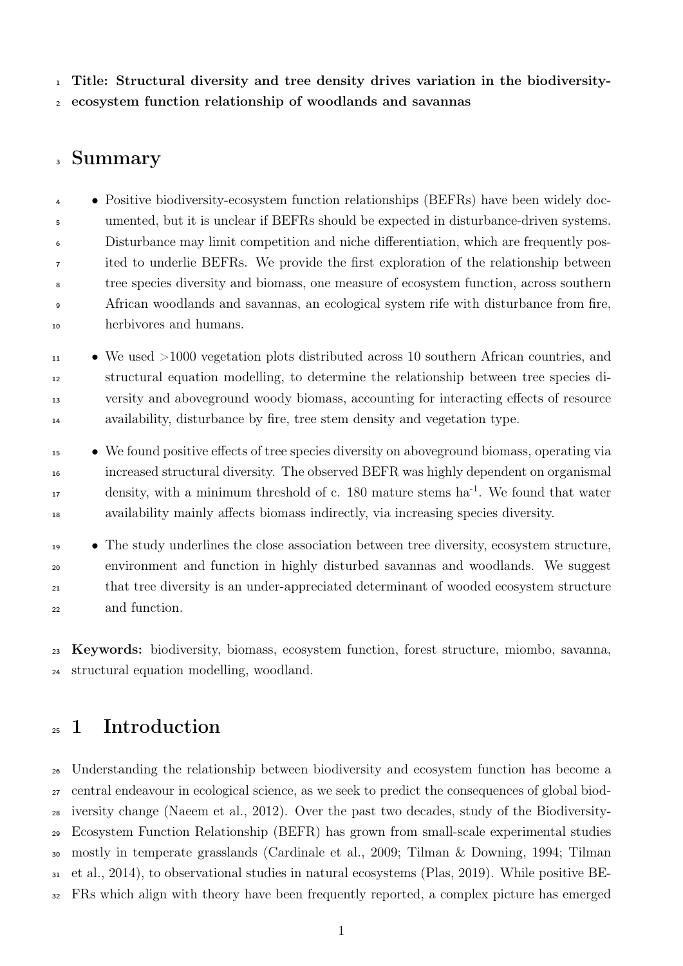Title: Structural diversity and tree density drives variation in the biodiversity-ecosystem function relationship of woodlands and savannas

### Summary

• Positive biodiversity-ecosystem function relationships (BEFRs) have been widely doc- umented, but it is unclear if BEFRs should be expected in disturbance-driven systems. Disturbance may limit competition and niche differentiation, which are frequently pos- ited to underlie BEFRs. We provide the first exploration of the relationship between tree species diversity and biomass, one measure of ecosystem function, across southern African woodlands and savannas, an ecological system rife with disturbance from fire, herbivores and humans.

 $\bullet$  We used  $>1000$  vegetation plots distributed across 10 southern African countries, and structural equation modelling, to determine the relationship between tree species di- versity and aboveground woody biomass, accounting for interacting effects of resource availability, disturbance by fire, tree stem density and vegetation type.

 • We found positive effects of tree species diversity on aboveground biomass, operating via increased structural diversity. The observed BEFR was highly dependent on organismal 17 density, with a minimum threshold of c. 180 mature stems ha<sup>-1</sup>. We found that water availability mainly affects biomass indirectly, via increasing species diversity.

 • The study underlines the close association between tree diversity, ecosystem structure, environment and function in highly disturbed savannas and woodlands. We suggest that tree diversity is an under-appreciated determinant of wooded ecosystem structure and function.

 Keywords: biodiversity, biomass, ecosystem function, forest structure, miombo, savanna, structural equation modelling, woodland.

## 1 Introduction

 Understanding the relationship between biodiversity and ecosystem function has become a central endeavour in ecological science, as we seek to predict the consequences of global biod- iversity change (Naeem et al., [2012\)](#page-30-0). Over the past two decades, study of the Biodiversity- Ecosystem Function Relationship (BEFR) has grown from small-scale experimental studies mostly in temperate grasslands (Cardinale et al., [2009;](#page-26-0) Tilman & Downing, [1994;](#page-33-0) Tilman et al., [2014\)](#page-33-1), to observational studies in natural ecosystems (Plas, [2019\)](#page-31-0). While positive BE-FRs which align with theory have been frequently reported, a complex picture has emerged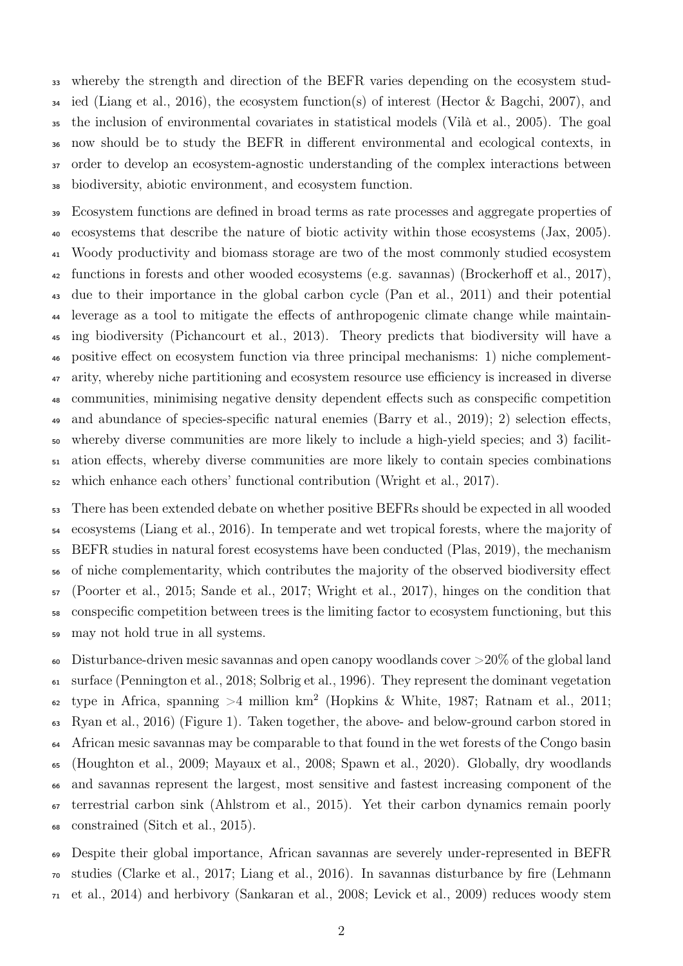whereby the strength and direction of the BEFR varies depending on the ecosystem stud-<sup>34</sup> ied (Liang et al., [2016\)](#page-29-0), the ecosystem function(s) of interest (Hector & Bagchi, [2007\)](#page-28-0), and the inclusion of environmental covariates in statistical models (Vilà et al., [2005\)](#page-33-2). The goal now should be to study the BEFR in different environmental and ecological contexts, in order to develop an ecosystem-agnostic understanding of the complex interactions between biodiversity, abiotic environment, and ecosystem function.

 Ecosystem functions are defined in broad terms as rate processes and aggregate properties of ecosystems that describe the nature of biotic activity within those ecosystems (Jax, [2005\)](#page-29-1). Woody productivity and biomass storage are two of the most commonly studied ecosystem functions in forests and other wooded ecosystems (e.g. savannas) (Brockerhoff et al., [2017\)](#page-26-1), due to their importance in the global carbon cycle (Pan et al., [2011\)](#page-30-1) and their potential leverage as a tool to mitigate the effects of anthropogenic climate change while maintain- ing biodiversity (Pichancourt et al., [2013\)](#page-31-1). Theory predicts that biodiversity will have a positive effect on ecosystem function via three principal mechanisms: 1) niche complement- arity, whereby niche partitioning and ecosystem resource use efficiency is increased in diverse communities, minimising negative density dependent effects such as conspecific competition and abundance of species-specific natural enemies (Barry et al., [2019\)](#page-26-2); 2) selection effects, whereby diverse communities are more likely to include a high-yield species; and 3) facilit- ation effects, whereby diverse communities are more likely to contain species combinations which enhance each others' functional contribution (Wright et al., [2017\)](#page-33-3).

 There has been extended debate on whether positive BEFRs should be expected in all wooded ecosystems (Liang et al., [2016\)](#page-29-0). In temperate and wet tropical forests, where the majority of BEFR studies in natural forest ecosystems have been conducted (Plas, [2019\)](#page-31-0), the mechanism of niche complementarity, which contributes the majority of the observed biodiversity effect (Poorter et al., [2015;](#page-31-2) Sande et al., [2017;](#page-32-0) Wright et al., [2017\)](#page-33-3), hinges on the condition that conspecific competition between trees is the limiting factor to ecosystem functioning, but this may not hold true in all systems.

<sup>60</sup> Disturbance-driven mesic savannas and open canopy woodlands cover  $>20\%$  of the global land surface (Pennington et al., [2018;](#page-31-3) Solbrig et al., [1996\)](#page-32-1). They represent the dominant vegetation  $\epsilon_2$  type in Africa, spanning >4 million km<sup>2</sup> (Hopkins & White, [1987;](#page-28-1) Ratnam et al., [2011;](#page-31-4) Ryan et al., [2016\)](#page-31-5) [\(Figure 1\)](#page-18-0). Taken together, the above- and below-ground carbon stored in <sup>64</sup> African mesic savannas may be comparable to that found in the wet forests of the Congo basin (Houghton et al., [2009;](#page-28-2) Mayaux et al., [2008;](#page-30-2) Spawn et al., [2020\)](#page-32-2). Globally, dry woodlands and savannas represent the largest, most sensitive and fastest increasing component of the terrestrial carbon sink (Ahlstrom et al., [2015\)](#page-25-0). Yet their carbon dynamics remain poorly constrained (Sitch et al., [2015\)](#page-32-3).

 Despite their global importance, African savannas are severely under-represented in BEFR studies (Clarke et al., [2017;](#page-27-0) Liang et al., [2016\)](#page-29-0). In savannas disturbance by fire (Lehmann et al., [2014\)](#page-29-2) and herbivory (Sankaran et al., [2008;](#page-32-4) Levick et al., [2009\)](#page-29-3) reduces woody stem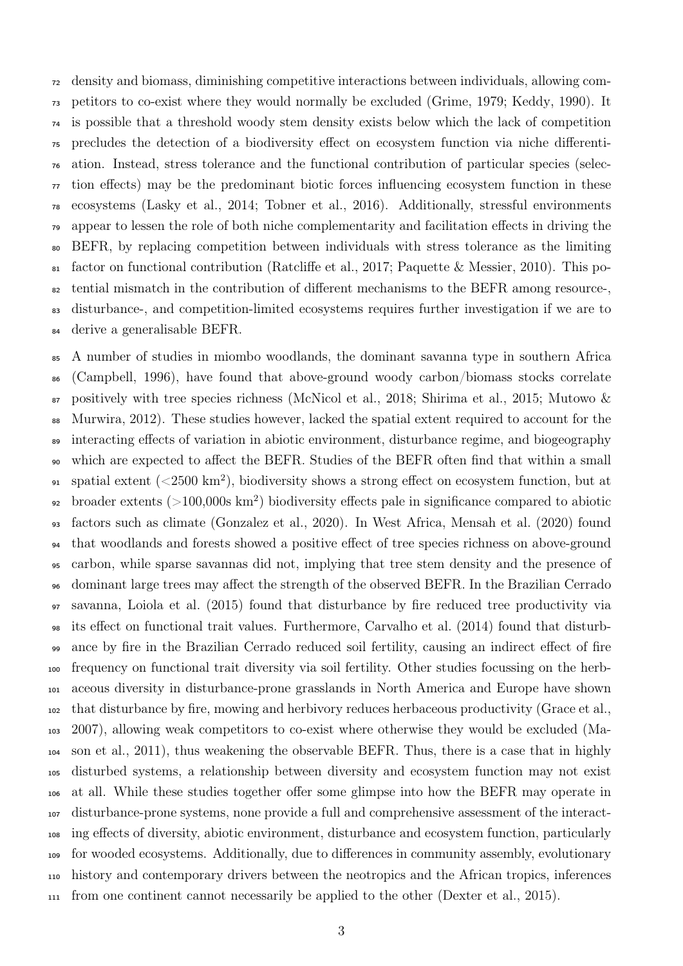density and biomass, diminishing competitive interactions between individuals, allowing com- petitors to co-exist where they would normally be excluded (Grime, [1979;](#page-28-3) Keddy, [1990\)](#page-29-4). It is possible that a threshold woody stem density exists below which the lack of competition precludes the detection of a biodiversity effect on ecosystem function via niche differenti- ation. Instead, stress tolerance and the functional contribution of particular species (selec- tion effects) may be the predominant biotic forces influencing ecosystem function in these ecosystems (Lasky et al., [2014;](#page-29-5) Tobner et al., [2016\)](#page-33-4). Additionally, stressful environments appear to lessen the role of both niche complementarity and facilitation effects in driving the BEFR, by replacing competition between individuals with stress tolerance as the limiting factor on functional contribution (Ratcliffe et al., [2017;](#page-31-6) Paquette & Messier, [2010\)](#page-30-3). This po- tential mismatch in the contribution of different mechanisms to the BEFR among resource-, disturbance-, and competition-limited ecosystems requires further investigation if we are to derive a generalisable BEFR.

 A number of studies in miombo woodlands, the dominant savanna type in southern Africa (Campbell, [1996\)](#page-26-3), have found that above-ground woody carbon/biomass stocks correlate  $\sigma$  positively with tree species richness (McNicol et al., [2018;](#page-30-4) Shirima et al., [2015;](#page-32-5) Mutowo & Murwira, [2012\)](#page-30-5). These studies however, lacked the spatial extent required to account for the interacting effects of variation in abiotic environment, disturbance regime, and biogeography which are expected to affect the BEFR. Studies of the BEFR often find that within a small  $_{91}$  spatial extent ( $\langle 2500 \text{ km}^2 \rangle$ , biodiversity shows a strong effect on ecosystem function, but at  $_{92}$  broader extents ( $>100,000$ s km<sup>2</sup>) biodiversity effects pale in significance compared to abiotic factors such as climate (Gonzalez et al., [2020\)](#page-28-4). In West Africa, Mensah et al. [\(2020\)](#page-30-6) found that woodlands and forests showed a positive effect of tree species richness on above-ground carbon, while sparse savannas did not, implying that tree stem density and the presence of dominant large trees may affect the strength of the observed BEFR. In the Brazilian Cerrado savanna, Loiola et al. [\(2015\)](#page-29-6) found that disturbance by fire reduced tree productivity via its effect on functional trait values. Furthermore, Carvalho et al. [\(2014\)](#page-26-4) found that disturb- ance by fire in the Brazilian Cerrado reduced soil fertility, causing an indirect effect of fire frequency on functional trait diversity via soil fertility. Other studies focussing on the herb- aceous diversity in disturbance-prone grasslands in North America and Europe have shown that disturbance by fire, mowing and herbivory reduces herbaceous productivity (Grace et al., [2007\)](#page-28-5), allowing weak competitors to co-exist where otherwise they would be excluded (Ma- son et al., [2011\)](#page-30-7), thus weakening the observable BEFR. Thus, there is a case that in highly disturbed systems, a relationship between diversity and ecosystem function may not exist at all. While these studies together offer some glimpse into how the BEFR may operate in disturbance-prone systems, none provide a full and comprehensive assessment of the interact- ing effects of diversity, abiotic environment, disturbance and ecosystem function, particularly for wooded ecosystems. Additionally, due to differences in community assembly, evolutionary history and contemporary drivers between the neotropics and the African tropics, inferences from one continent cannot necessarily be applied to the other (Dexter et al., [2015\)](#page-27-1).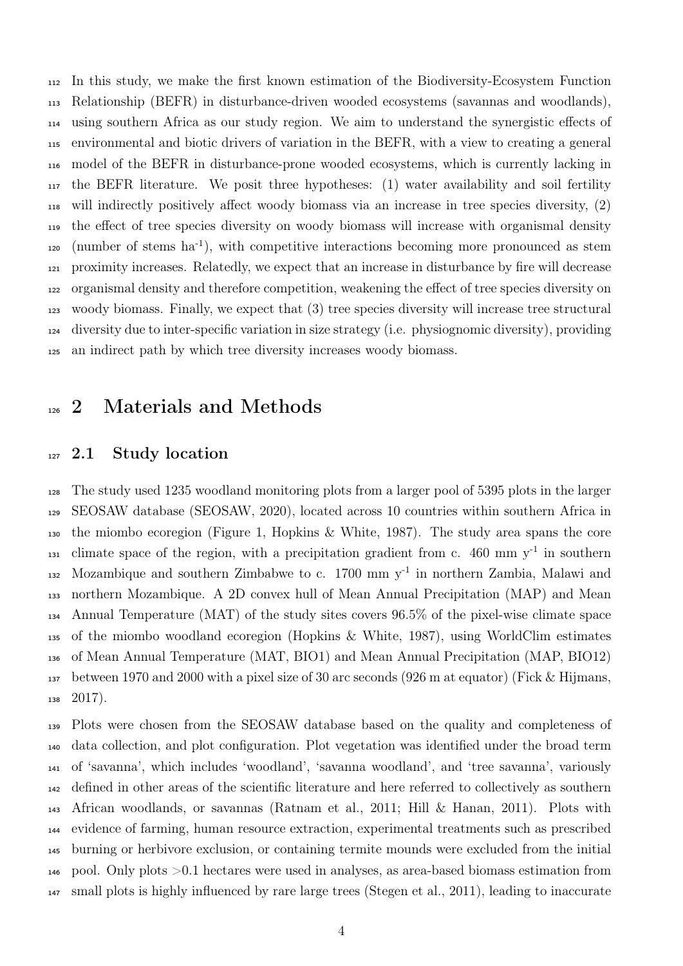In this study, we make the first known estimation of the Biodiversity-Ecosystem Function Relationship (BEFR) in disturbance-driven wooded ecosystems (savannas and woodlands), using southern Africa as our study region. We aim to understand the synergistic effects of environmental and biotic drivers of variation in the BEFR, with a view to creating a general model of the BEFR in disturbance-prone wooded ecosystems, which is currently lacking in the BEFR literature. We posit three hypotheses: (1) water availability and soil fertility will indirectly positively affect woody biomass via an increase in tree species diversity, (2) the effect of tree species diversity on woody biomass will increase with organismal density 120 (number of stems ha<sup>-1</sup>), with competitive interactions becoming more pronounced as stem proximity increases. Relatedly, we expect that an increase in disturbance by fire will decrease organismal density and therefore competition, weakening the effect of tree species diversity on woody biomass. Finally, we expect that (3) tree species diversity will increase tree structural diversity due to inter-specific variation in size strategy (i.e. physiognomic diversity), providing an indirect path by which tree diversity increases woody biomass.

### <sup>126</sup> 2 Materials and Methods

### <sup>127</sup> 2.1 Study location

 The study used 1235 woodland monitoring plots from a larger pool of 5395 plots in the larger SEOSAW database (SEOSAW, [2020\)](#page-32-6), located across 10 countries within southern Africa in the miombo ecoregion [\(Figure 1,](#page-18-0) Hopkins & White, [1987\)](#page-28-1). The study area spans the core  $_{131}$  climate space of the region, with a precipitation gradient from c. 460 mm  $y^{-1}$  in southern 132 Mozambique and southern Zimbabwe to c. mm  $y^{-1}$  in northern Zambia, Malawi and northern Mozambique. A 2D convex hull of Mean Annual Precipitation (MAP) and Mean Annual Temperature (MAT) of the study sites covers 96.5% of the pixel-wise climate space of the miombo woodland ecoregion (Hopkins & White, [1987\)](#page-28-1), using WorldClim estimates of Mean Annual Temperature (MAT, BIO1) and Mean Annual Precipitation (MAP, BIO12) between 1970 and 2000 with a pixel size of 30 arc seconds (926 m at equator) (Fick & Hijmans,  $138 \quad 2017$ ).

 Plots were chosen from the SEOSAW database based on the quality and completeness of data collection, and plot configuration. Plot vegetation was identified under the broad term of 'savanna', which includes 'woodland', 'savanna woodland', and 'tree savanna', variously defined in other areas of the scientific literature and here referred to collectively as southern African woodlands, or savannas (Ratnam et al., [2011;](#page-31-4) Hill & Hanan, [2011\)](#page-28-6). Plots with evidence of farming, human resource extraction, experimental treatments such as prescribed burning or herbivore exclusion, or containing termite mounds were excluded from the initial pool. Only plots >0.1 hectares were used in analyses, as area-based biomass estimation from small plots is highly influenced by rare large trees (Stegen et al., [2011\)](#page-33-5), leading to inaccurate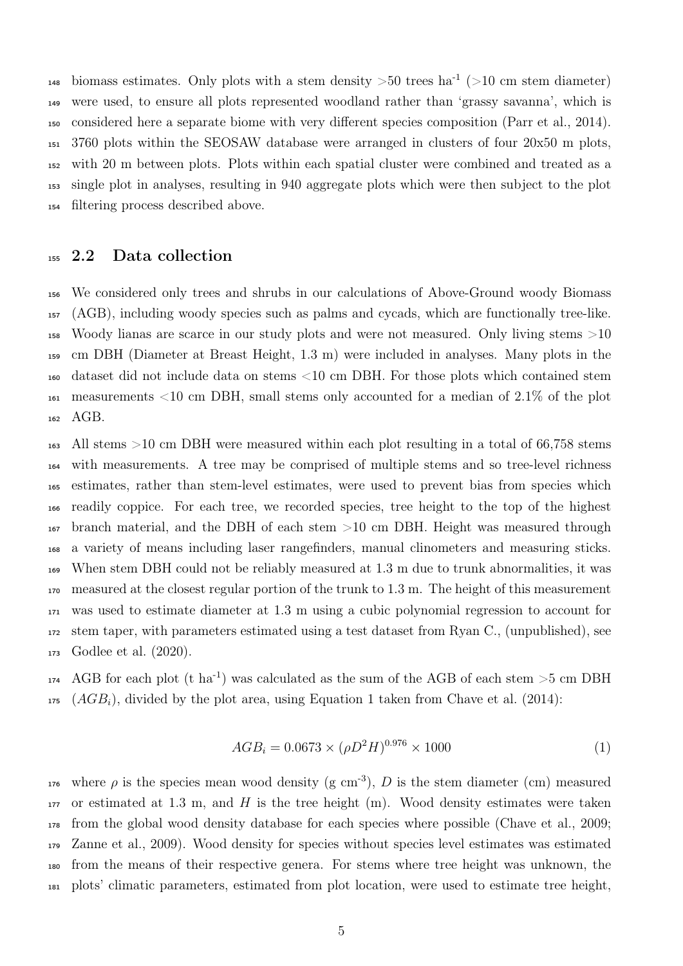148 biomass estimates. Only plots with a stem density  $>50$  trees ha<sup>-1</sup> ( $>10$  cm stem diameter) were used, to ensure all plots represented woodland rather than 'grassy savanna', which is considered here a separate biome with very different species composition (Parr et al., [2014\)](#page-30-8). 3760 plots within the SEOSAW database were arranged in clusters of four 20x50 m plots, with 20 m between plots. Plots within each spatial cluster were combined and treated as a single plot in analyses, resulting in 940 aggregate plots which were then subject to the plot filtering process described above.

#### 2.2 Data collection

 We considered only trees and shrubs in our calculations of Above-Ground woody Biomass (AGB), including woody species such as palms and cycads, which are functionally tree-like. Woody lianas are scarce in our study plots and were not measured. Only living stems >10 cm DBH (Diameter at Breast Height, 1.3 m) were included in analyses. Many plots in the dataset did not include data on stems <10 cm DBH. For those plots which contained stem measurements <10 cm DBH, small stems only accounted for a median of 2.1% of the plot AGB.

 All stems >10 cm DBH were measured within each plot resulting in a total of 66,758 stems with measurements. A tree may be comprised of multiple stems and so tree-level richness estimates, rather than stem-level estimates, were used to prevent bias from species which readily coppice. For each tree, we recorded species, tree height to the top of the highest branch material, and the DBH of each stem >10 cm DBH. Height was measured through a variety of means including laser rangefinders, manual clinometers and measuring sticks. When stem DBH could not be reliably measured at 1.3 m due to trunk abnormalities, it was measured at the closest regular portion of the trunk to 1.3 m. The height of this measurement was used to estimate diameter at 1.3 m using a cubic polynomial regression to account for stem taper, with parameters estimated using a test dataset from Ryan C., (unpublished), see Godlee et al. [\(2020\)](#page-28-7).

 $_{174}$  AGB for each plot (t ha<sup>-1</sup>) was calculated as the sum of the AGB of each stem  $>5$  cm DBH (*AGB<sub>i</sub>*), divided by the plot area, using [Equation 1](#page-4-0) taken from Chave et al. [\(2014\)](#page-27-3):

<span id="page-4-0"></span>
$$
AGB_i = 0.0673 \times (\rho D^2 H)^{0.976} \times 1000 \tag{1}
$$

176 where  $\rho$  is the species mean wood density (g cm<sup>-3</sup>), D is the stem diameter (cm) measured or estimated at 1.3 m, and H is the tree height (m). Wood density estimates were taken from the global wood density database for each species where possible (Chave et al., [2009;](#page-27-4) Zanne et al., [2009\)](#page-33-6). Wood density for species without species level estimates was estimated from the means of their respective genera. For stems where tree height was unknown, the plots' climatic parameters, estimated from plot location, were used to estimate tree height,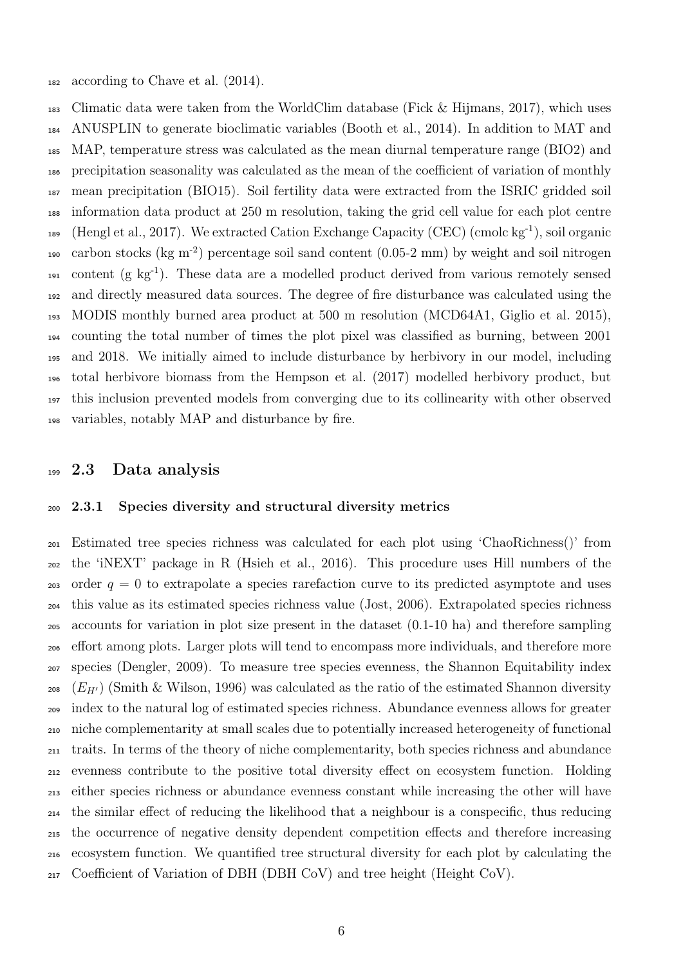according to Chave et al. [\(2014\)](#page-27-3).

 Climatic data were taken from the WorldClim database (Fick & Hijmans, [2017\)](#page-27-2), which uses ANUSPLIN to generate bioclimatic variables (Booth et al., [2014\)](#page-26-5). In addition to MAT and MAP, temperature stress was calculated as the mean diurnal temperature range (BIO2) and precipitation seasonality was calculated as the mean of the coefficient of variation of monthly mean precipitation (BIO15). Soil fertility data were extracted from the ISRIC gridded soil information data product at 250 m resolution, taking the grid cell value for each plot centre 189 (Hengl et al., [2017\)](#page-28-8). We extracted Cation Exchange Capacity (CEC) (cmolc  $kg^{-1}$ ), soil organic 190 carbon stocks ( $\text{kg m}^{-2}$ ) percentage soil sand content (0.05-2 mm) by weight and soil nitrogen content (g kg<sup>-1</sup>). These data are a modelled product derived from various remotely sensed and directly measured data sources. The degree of fire disturbance was calculated using the MODIS monthly burned area product at 500 m resolution (MCD64A1, Giglio et al. [2015\)](#page-27-5), counting the total number of times the plot pixel was classified as burning, between 2001 and 2018. We initially aimed to include disturbance by herbivory in our model, including total herbivore biomass from the Hempson et al. [\(2017\)](#page-28-9) modelled herbivory product, but this inclusion prevented models from converging due to its collinearity with other observed variables, notably MAP and disturbance by fire.

### 2.3 Data analysis

#### 2.3.1 Species diversity and structural diversity metrics

 Estimated tree species richness was calculated for each plot using 'ChaoRichness()' from the 'iNEXT' package in R (Hsieh et al., [2016\)](#page-28-10). This procedure uses Hill numbers of the 203 order  $q = 0$  to extrapolate a species rarefaction curve to its predicted asymptote and uses this value as its estimated species richness value (Jost, [2006\)](#page-29-7). Extrapolated species richness accounts for variation in plot size present in the dataset (0.1-10 ha) and therefore sampling effort among plots. Larger plots will tend to encompass more individuals, and therefore more species (Dengler, [2009\)](#page-27-6). To measure tree species evenness, the Shannon Equitability index 208 ( $E_{H}$ ) (Smith & Wilson, [1996\)](#page-32-7) was calculated as the ratio of the estimated Shannon diversity index to the natural log of estimated species richness. Abundance evenness allows for greater niche complementarity at small scales due to potentially increased heterogeneity of functional traits. In terms of the theory of niche complementarity, both species richness and abundance evenness contribute to the positive total diversity effect on ecosystem function. Holding either species richness or abundance evenness constant while increasing the other will have the similar effect of reducing the likelihood that a neighbour is a conspecific, thus reducing the occurrence of negative density dependent competition effects and therefore increasing ecosystem function. We quantified tree structural diversity for each plot by calculating the Coefficient of Variation of DBH (DBH CoV) and tree height (Height CoV).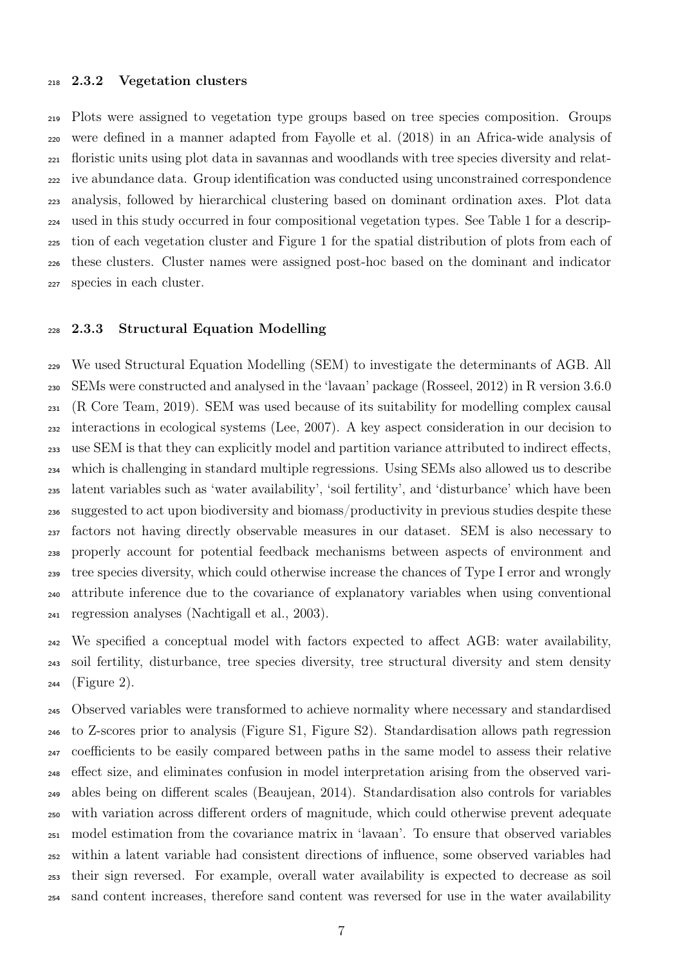#### 2.3.2 Vegetation clusters

 Plots were assigned to vegetation type groups based on tree species composition. Groups were defined in a manner adapted from Fayolle et al. [\(2018\)](#page-27-7) in an Africa-wide analysis of floristic units using plot data in savannas and woodlands with tree species diversity and relat- ive abundance data. Group identification was conducted using unconstrained correspondence analysis, followed by hierarchical clustering based on dominant ordination axes. Plot data used in this study occurred in four compositional vegetation types. See [Table 1](#page-16-0) for a descrip- tion of each vegetation cluster and [Figure 1](#page-18-0) for the spatial distribution of plots from each of these clusters. Cluster names were assigned post-hoc based on the dominant and indicator species in each cluster.

#### 2.3.3 Structural Equation Modelling

 We used Structural Equation Modelling (SEM) to investigate the determinants of AGB. All SEMs were constructed and analysed in the 'lavaan' package (Rosseel, [2012\)](#page-31-7) in R version 3.6.0 (R Core Team, [2019\)](#page-31-8). SEM was used because of its suitability for modelling complex causal interactions in ecological systems (Lee, [2007\)](#page-29-8). A key aspect consideration in our decision to use SEM is that they can explicitly model and partition variance attributed to indirect effects, which is challenging in standard multiple regressions. Using SEMs also allowed us to describe latent variables such as 'water availability', 'soil fertility', and 'disturbance' which have been suggested to act upon biodiversity and biomass/productivity in previous studies despite these factors not having directly observable measures in our dataset. SEM is also necessary to properly account for potential feedback mechanisms between aspects of environment and tree species diversity, which could otherwise increase the chances of Type I error and wrongly attribute inference due to the covariance of explanatory variables when using conventional regression analyses (Nachtigall et al., [2003\)](#page-30-9).

 We specified a conceptual model with factors expected to affect AGB: water availability, soil fertility, disturbance, tree species diversity, tree structural diversity and stem density [\(Figure 2\)](#page-19-0).

 Observed variables were transformed to achieve normality where necessary and standardised to Z-scores prior to analysis (Figure S1, Figure S2). Standardisation allows path regression coefficients to be easily compared between paths in the same model to assess their relative effect size, and eliminates confusion in model interpretation arising from the observed vari- ables being on different scales (Beaujean, [2014\)](#page-26-6). Standardisation also controls for variables with variation across different orders of magnitude, which could otherwise prevent adequate model estimation from the covariance matrix in 'lavaan'. To ensure that observed variables within a latent variable had consistent directions of influence, some observed variables had their sign reversed. For example, overall water availability is expected to decrease as soil sand content increases, therefore sand content was reversed for use in the water availability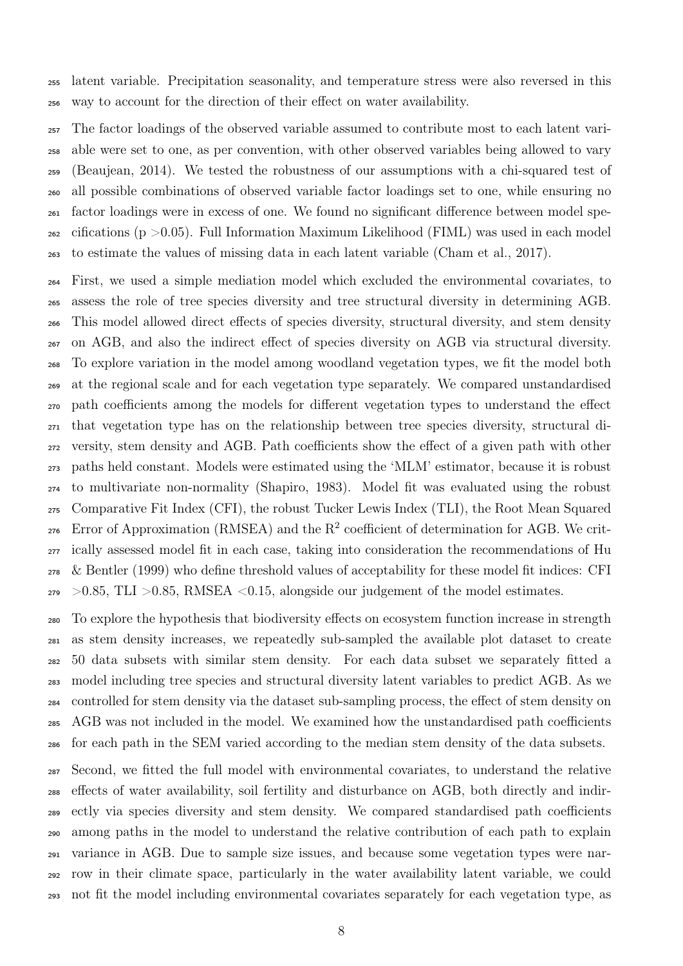latent variable. Precipitation seasonality, and temperature stress were also reversed in this way to account for the direction of their effect on water availability.

 The factor loadings of the observed variable assumed to contribute most to each latent vari- able were set to one, as per convention, with other observed variables being allowed to vary (Beaujean, [2014\)](#page-26-6). We tested the robustness of our assumptions with a chi-squared test of all possible combinations of observed variable factor loadings set to one, while ensuring no factor loadings were in excess of one. We found no significant difference between model spe- $_{262}$  cifications (p  $>0.05$ ). Full Information Maximum Likelihood (FIML) was used in each model to estimate the values of missing data in each latent variable (Cham et al., [2017\)](#page-26-7).

 First, we used a simple mediation model which excluded the environmental covariates, to assess the role of tree species diversity and tree structural diversity in determining AGB. This model allowed direct effects of species diversity, structural diversity, and stem density on AGB, and also the indirect effect of species diversity on AGB via structural diversity. To explore variation in the model among woodland vegetation types, we fit the model both at the regional scale and for each vegetation type separately. We compared unstandardised path coefficients among the models for different vegetation types to understand the effect that vegetation type has on the relationship between tree species diversity, structural di- versity, stem density and AGB. Path coefficients show the effect of a given path with other paths held constant. Models were estimated using the 'MLM' estimator, because it is robust to multivariate non-normality (Shapiro, [1983\)](#page-32-8). Model fit was evaluated using the robust Comparative Fit Index (CFI), the robust Tucker Lewis Index (TLI), the Root Mean Squared Error of Approximation (RMSEA) and the  $R^2$  coefficient of determination for AGB. We crit- ically assessed model fit in each case, taking into consideration the recommendations of Hu & Bentler [\(1999\)](#page-29-9) who define threshold values of acceptability for these model fit indices: CFI  $_{279}$  >0.85, TLI >0.85, RMSEA <0.15, alongside our judgement of the model estimates.

 To explore the hypothesis that biodiversity effects on ecosystem function increase in strength as stem density increases, we repeatedly sub-sampled the available plot dataset to create 50 data subsets with similar stem density. For each data subset we separately fitted a model including tree species and structural diversity latent variables to predict AGB. As we controlled for stem density via the dataset sub-sampling process, the effect of stem density on AGB was not included in the model. We examined how the unstandardised path coefficients for each path in the SEM varied according to the median stem density of the data subsets.

 Second, we fitted the full model with environmental covariates, to understand the relative effects of water availability, soil fertility and disturbance on AGB, both directly and indir- ectly via species diversity and stem density. We compared standardised path coefficients among paths in the model to understand the relative contribution of each path to explain variance in AGB. Due to sample size issues, and because some vegetation types were nar- row in their climate space, particularly in the water availability latent variable, we could not fit the model including environmental covariates separately for each vegetation type, as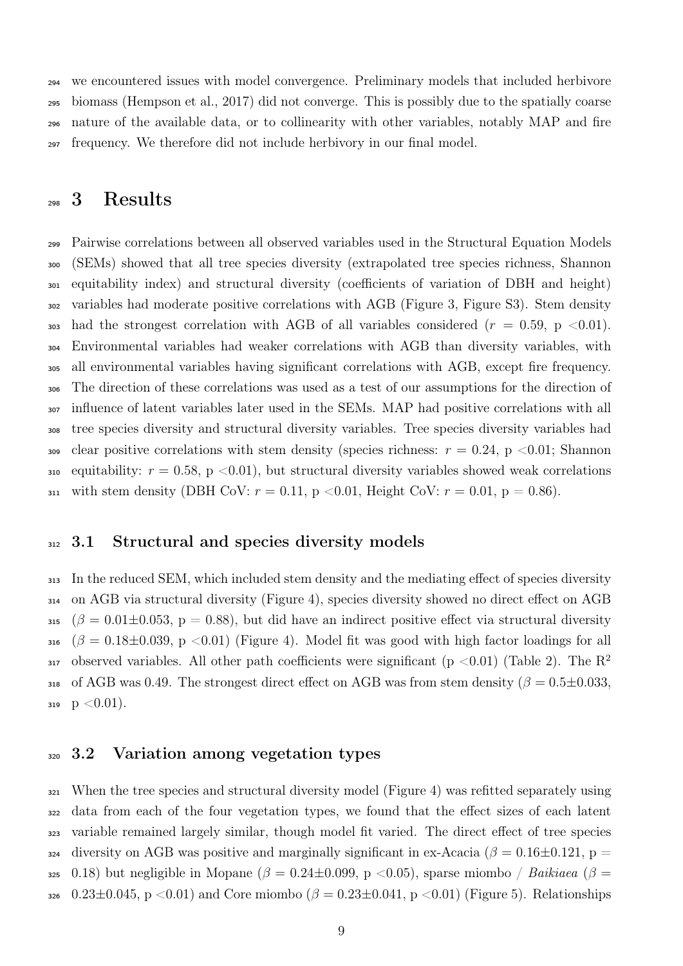we encountered issues with model convergence. Preliminary models that included herbivore biomass (Hempson et al., [2017\)](#page-28-9) did not converge. This is possibly due to the spatially coarse nature of the available data, or to collinearity with other variables, notably MAP and fire frequency. We therefore did not include herbivory in our final model.

### 3 Results

 Pairwise correlations between all observed variables used in the Structural Equation Models (SEMs) showed that all tree species diversity (extrapolated tree species richness, Shannon equitability index) and structural diversity (coefficients of variation of DBH and height) variables had moderate positive correlations with AGB [\(Figure 3,](#page-20-0) Figure S3). Stem density 303 had the strongest correlation with AGB of all variables considered  $(r = 0.59, p < 0.01)$ . Environmental variables had weaker correlations with AGB than diversity variables, with all environmental variables having significant correlations with AGB, except fire frequency. The direction of these correlations was used as a test of our assumptions for the direction of influence of latent variables later used in the SEMs. MAP had positive correlations with all tree species diversity and structural diversity variables. Tree species diversity variables had 309 clear positive correlations with stem density (species richness:  $r = 0.24$ , p <0.01; Shannon 310 equitability:  $r = 0.58$ , p <0.01), but structural diversity variables showed weak correlations 311 with stem density (DBH CoV:  $r = 0.11$ , p < 0.01, Height CoV:  $r = 0.01$ , p = 0.86).

### 312 3.1 Structural and species diversity models

 In the reduced SEM, which included stem density and the mediating effect of species diversity on AGB via structural diversity [\(Figure 4\)](#page-21-0), species diversity showed no direct effect on AGB 315 ( $\beta = 0.01 \pm 0.053$ , p = 0.88), but did have an indirect positive effect via structural diversity ( $\beta = 0.18 \pm 0.039$ , p <0.01) [\(Figure 4\)](#page-21-0). Model fit was good with high factor loadings for all observed variables. All other path coefficients were significant ( $p < 0.01$ ) [\(Table 2\)](#page-17-0). The R<sup>2</sup> 318 of AGB was 0.49. The strongest direct effect on AGB was from stem density ( $\beta = 0.5 \pm 0.033$ . 319  $p < 0.01$ ).

#### 3.2 Variation among vegetation types

 When the tree species and structural diversity model [\(Figure 4\)](#page-21-0) was refitted separately using data from each of the four vegetation types, we found that the effect sizes of each latent variable remained largely similar, though model fit varied. The direct effect of tree species  $_{324}$  diversity on AGB was positive and marginally significant in ex-Acacia ( $\beta = 0.16 \pm 0.121$ , p = 325 0.18) but negligible in Mopane ( $\beta = 0.24 \pm 0.099$ , p <0.05), sparse miombo / Baikiaea ( $\beta =$ 326 0.23 $\pm$ 0.045, p <0.01) and Core miombo ( $\beta = 0.23 \pm 0.041$ , p <0.01) [\(Figure 5\)](#page-22-0). Relationships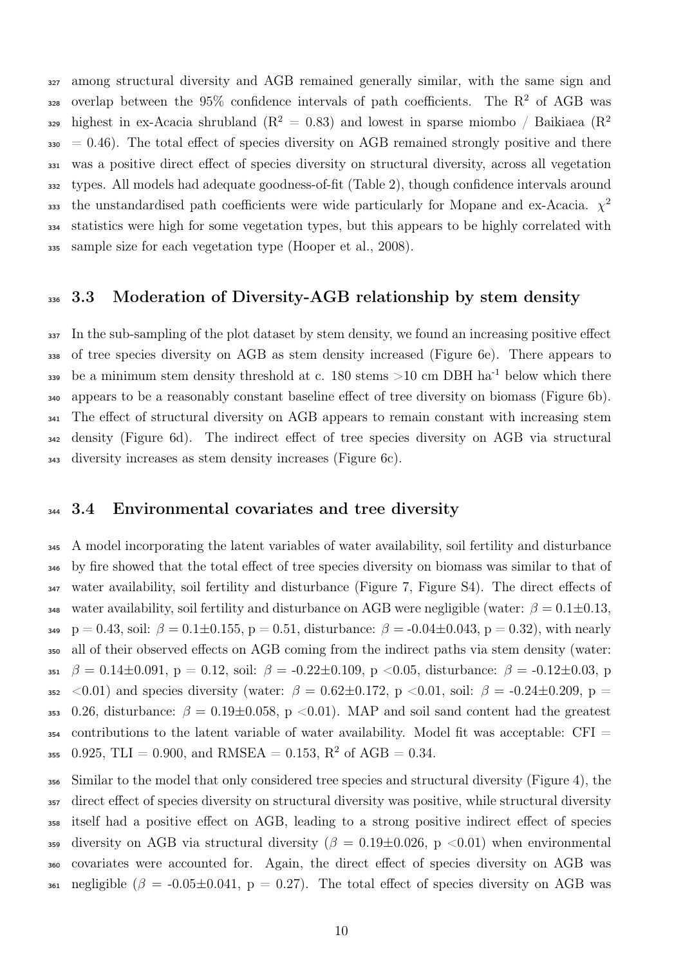among structural diversity and AGB remained generally similar, with the same sign and 328 overlap between the 95% confidence intervals of path coefficients. The  $R^2$  of AGB was highest in ex-Acacia shrubland  $(R^2 = 0.83)$  and lowest in sparse miombo / Baikiaea  $(R^2)$  $330 = 0.46$ ). The total effect of species diversity on AGB remained strongly positive and there was a positive direct effect of species diversity on structural diversity, across all vegetation types. All models had adequate goodness-of-fit [\(Table 2\)](#page-17-0), though confidence intervals around the unstandardised path coefficients were wide particularly for Mopane and ex-Acacia.  $\chi^2$  statistics were high for some vegetation types, but this appears to be highly correlated with sample size for each vegetation type (Hooper et al., [2008\)](#page-28-11).

### 336 3.3 Moderation of Diversity-AGB relationship by stem density

 In the sub-sampling of the plot dataset by stem density, we found an increasing positive effect of tree species diversity on AGB as stem density increased [\(Figure 6e](#page-23-0)). There appears to 339 be a minimum stem density threshold at c. 180 stems  $>10$  cm DBH ha<sup>-1</sup> below which there appears to be a reasonably constant baseline effect of tree diversity on biomass [\(Figure 6b](#page-23-0)). The effect of structural diversity on AGB appears to remain constant with increasing stem density [\(Figure 6d](#page-23-0)). The indirect effect of tree species diversity on AGB via structural diversity increases as stem density increases [\(Figure 6c](#page-23-0)).

#### 344 3.4 Environmental covariates and tree diversity

 A model incorporating the latent variables of water availability, soil fertility and disturbance by fire showed that the total effect of tree species diversity on biomass was similar to that of water availability, soil fertility and disturbance [\(Figure 7,](#page-24-0) Figure S4). The direct effects of 348 water availability, soil fertility and disturbance on AGB were negligible (water:  $\beta = 0.1 \pm 0.13$ , 349 p = 0.43, soil:  $\beta = 0.1 \pm 0.155$ , p = 0.51, disturbance:  $\beta = -0.04 \pm 0.043$ , p = 0.32), with nearly all of their observed effects on AGB coming from the indirect paths via stem density (water: 351  $\beta = 0.14 \pm 0.091$ , p = 0.12, soil:  $\beta = -0.22 \pm 0.109$ , p < 0.05, disturbance:  $\beta = -0.12 \pm 0.03$ , p 352 <0.01) and species diversity (water:  $\beta = 0.62 \pm 0.172$ , p <0.01, soil:  $\beta = -0.24 \pm 0.209$ , p = 353 0.26, disturbance:  $\beta = 0.19 \pm 0.058$ , p <0.01). MAP and soil sand content had the greatest contributions to the latent variable of water availability. Model fit was acceptable: CFI =  $_{\rm 355}$   $\,$   $\,0.925,\, {\rm TLI}=0.900,\, {\rm and}\,\,{\rm RMSEA}=0.153,\, {\rm R^2}$  of  ${\rm AGB}=0.34.$ 

 Similar to the model that only considered tree species and structural diversity [\(Figure 4\)](#page-21-0), the direct effect of species diversity on structural diversity was positive, while structural diversity itself had a positive effect on AGB, leading to a strong positive indirect effect of species 359 diversity on AGB via structural diversity ( $\beta = 0.19 \pm 0.026$ , p <0.01) when environmental covariates were accounted for. Again, the direct effect of species diversity on AGB was 361 negligible ( $\beta$  = -0.05 $\pm$ 0.041, p = 0.27). The total effect of species diversity on AGB was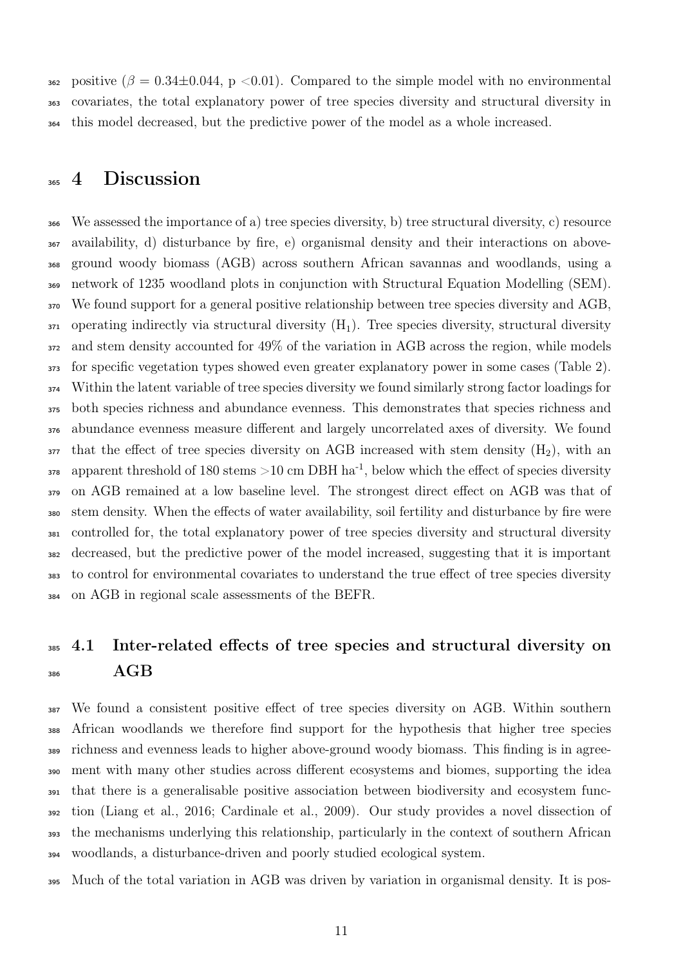362 positive ( $\beta = 0.34 \pm 0.044$ , p < 0.01). Compared to the simple model with no environmental covariates, the total explanatory power of tree species diversity and structural diversity in this model decreased, but the predictive power of the model as a whole increased.

### 365 4 Discussion

 We assessed the importance of a) tree species diversity, b) tree structural diversity, c) resource availability, d) disturbance by fire, e) organismal density and their interactions on above- ground woody biomass (AGB) across southern African savannas and woodlands, using a network of 1235 woodland plots in conjunction with Structural Equation Modelling (SEM). We found support for a general positive relationship between tree species diversity and AGB, operating indirectly via structural diversity  $(H_1)$ . Tree species diversity, structural diversity and stem density accounted for 49% of the variation in AGB across the region, while models for specific vegetation types showed even greater explanatory power in some cases [\(Table 2\)](#page-17-0). Within the latent variable of tree species diversity we found similarly strong factor loadings for both species richness and abundance evenness. This demonstrates that species richness and abundance evenness measure different and largely uncorrelated axes of diversity. We found that the effect of tree species diversity on AGB increased with stem density  $(H_2)$ , with an  $_{378}$  apparent threshold of 180 stems >10 cm DBH ha<sup>-1</sup>, below which the effect of species diversity on AGB remained at a low baseline level. The strongest direct effect on AGB was that of stem density. When the effects of water availability, soil fertility and disturbance by fire were controlled for, the total explanatory power of tree species diversity and structural diversity decreased, but the predictive power of the model increased, suggesting that it is important to control for environmental covariates to understand the true effect of tree species diversity on AGB in regional scale assessments of the BEFR.

### <sup>385</sup> 4.1 Inter-related effects of tree species and structural diversity on AGB

 We found a consistent positive effect of tree species diversity on AGB. Within southern African woodlands we therefore find support for the hypothesis that higher tree species richness and evenness leads to higher above-ground woody biomass. This finding is in agree- ment with many other studies across different ecosystems and biomes, supporting the idea that there is a generalisable positive association between biodiversity and ecosystem func- tion (Liang et al., [2016;](#page-29-0) Cardinale et al., [2009\)](#page-26-0). Our study provides a novel dissection of the mechanisms underlying this relationship, particularly in the context of southern African woodlands, a disturbance-driven and poorly studied ecological system.

Much of the total variation in AGB was driven by variation in organismal density. It is pos-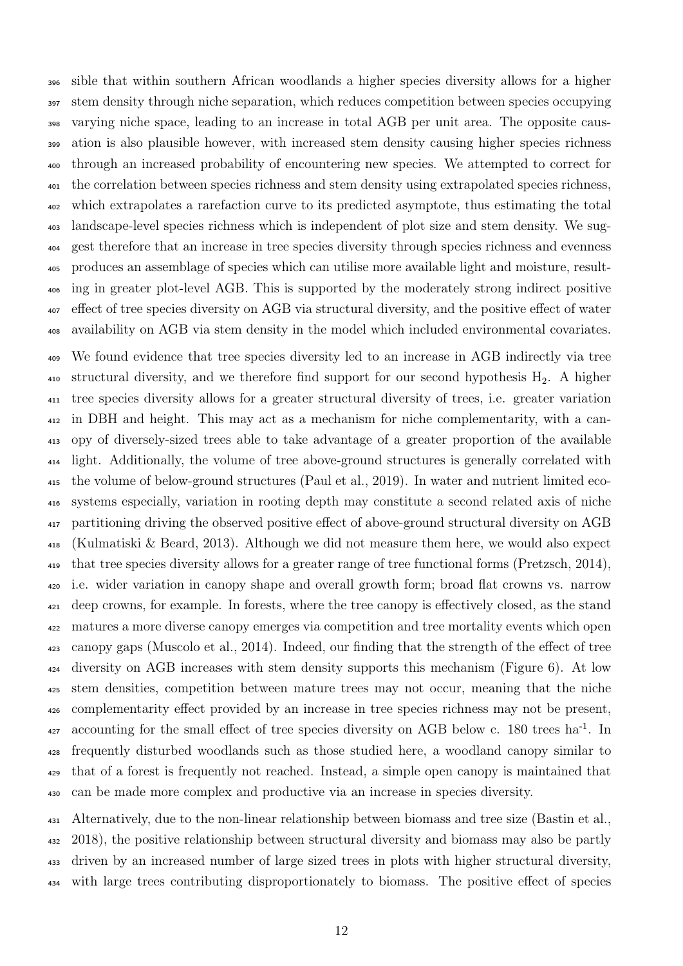sible that within southern African woodlands a higher species diversity allows for a higher stem density through niche separation, which reduces competition between species occupying varying niche space, leading to an increase in total AGB per unit area. The opposite caus- ation is also plausible however, with increased stem density causing higher species richness through an increased probability of encountering new species. We attempted to correct for the correlation between species richness and stem density using extrapolated species richness, which extrapolates a rarefaction curve to its predicted asymptote, thus estimating the total landscape-level species richness which is independent of plot size and stem density. We sug- gest therefore that an increase in tree species diversity through species richness and evenness produces an assemblage of species which can utilise more available light and moisture, result- ing in greater plot-level AGB. This is supported by the moderately strong indirect positive effect of tree species diversity on AGB via structural diversity, and the positive effect of water availability on AGB via stem density in the model which included environmental covariates.

 We found evidence that tree species diversity led to an increase in AGB indirectly via tree 410 structural diversity, and we therefore find support for our second hypothesis  $H_2$ . A higher tree species diversity allows for a greater structural diversity of trees, i.e. greater variation in DBH and height. This may act as a mechanism for niche complementarity, with a can- opy of diversely-sized trees able to take advantage of a greater proportion of the available light. Additionally, the volume of tree above-ground structures is generally correlated with the volume of below-ground structures (Paul et al., [2019\)](#page-31-9). In water and nutrient limited eco- systems especially, variation in rooting depth may constitute a second related axis of niche partitioning driving the observed positive effect of above-ground structural diversity on AGB (Kulmatiski & Beard, [2013\)](#page-29-10). Although we did not measure them here, we would also expect that tree species diversity allows for a greater range of tree functional forms (Pretzsch, [2014\)](#page-31-10), i.e. wider variation in canopy shape and overall growth form; broad flat crowns vs. narrow deep crowns, for example. In forests, where the tree canopy is effectively closed, as the stand matures a more diverse canopy emerges via competition and tree mortality events which open canopy gaps (Muscolo et al., [2014\)](#page-30-10). Indeed, our finding that the strength of the effect of tree diversity on AGB increases with stem density supports this mechanism [\(Figure 6\)](#page-23-0). At low stem densities, competition between mature trees may not occur, meaning that the niche complementarity effect provided by an increase in tree species richness may not be present,  $\alpha$ <sub>27</sub> accounting for the small effect of tree species diversity on AGB below c. 180 trees ha<sup>-1</sup>. In frequently disturbed woodlands such as those studied here, a woodland canopy similar to that of a forest is frequently not reached. Instead, a simple open canopy is maintained that can be made more complex and productive via an increase in species diversity.

 Alternatively, due to the non-linear relationship between biomass and tree size (Bastin et al., [2018\)](#page-26-8), the positive relationship between structural diversity and biomass may also be partly driven by an increased number of large sized trees in plots with higher structural diversity, with large trees contributing disproportionately to biomass. The positive effect of species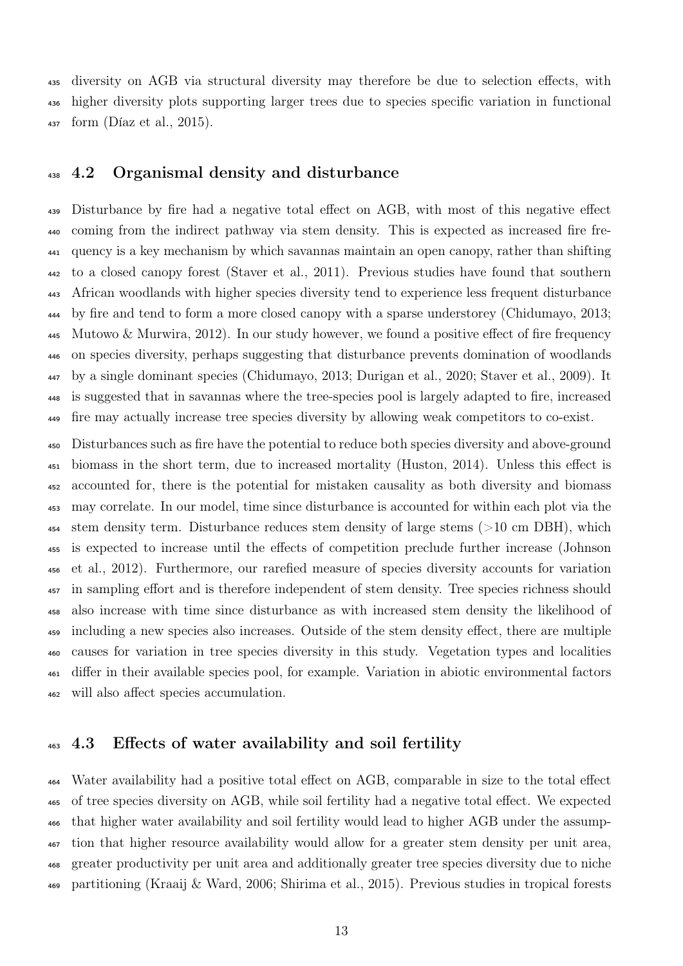diversity on AGB via structural diversity may therefore be due to selection effects, with higher diversity plots supporting larger trees due to species specific variation in functional form (Díaz et al., [2015\)](#page-27-8).

#### 4.2 Organismal density and disturbance

 Disturbance by fire had a negative total effect on AGB, with most of this negative effect coming from the indirect pathway via stem density. This is expected as increased fire fre- quency is a key mechanism by which savannas maintain an open canopy, rather than shifting to a closed canopy forest (Staver et al., [2011\)](#page-32-9). Previous studies have found that southern African woodlands with higher species diversity tend to experience less frequent disturbance by fire and tend to form a more closed canopy with a sparse understorey (Chidumayo, [2013;](#page-27-9) Mutowo & Murwira, [2012\)](#page-30-5). In our study however, we found a positive effect of fire frequency on species diversity, perhaps suggesting that disturbance prevents domination of woodlands by a single dominant species (Chidumayo, [2013;](#page-27-9) Durigan et al., [2020;](#page-27-10) Staver et al., [2009\)](#page-33-7). It is suggested that in savannas where the tree-species pool is largely adapted to fire, increased fire may actually increase tree species diversity by allowing weak competitors to co-exist.

 Disturbances such as fire have the potential to reduce both species diversity and above-ground biomass in the short term, due to increased mortality (Huston, [2014\)](#page-29-11). Unless this effect is accounted for, there is the potential for mistaken causality as both diversity and biomass may correlate. In our model, time since disturbance is accounted for within each plot via the stem density term. Disturbance reduces stem density of large stems (>10 cm DBH), which is expected to increase until the effects of competition preclude further increase (Johnson et al., [2012\)](#page-29-12). Furthermore, our rarefied measure of species diversity accounts for variation <sup>457</sup> in sampling effort and is therefore independent of stem density. Tree species richness should also increase with time since disturbance as with increased stem density the likelihood of including a new species also increases. Outside of the stem density effect, there are multiple causes for variation in tree species diversity in this study. Vegetation types and localities differ in their available species pool, for example. Variation in abiotic environmental factors will also affect species accumulation.

### 4.3 Effects of water availability and soil fertility

 Water availability had a positive total effect on AGB, comparable in size to the total effect of tree species diversity on AGB, while soil fertility had a negative total effect. We expected that higher water availability and soil fertility would lead to higher AGB under the assump- tion that higher resource availability would allow for a greater stem density per unit area, greater productivity per unit area and additionally greater tree species diversity due to niche partitioning (Kraaij & Ward, [2006;](#page-29-13) Shirima et al., [2015\)](#page-32-5). Previous studies in tropical forests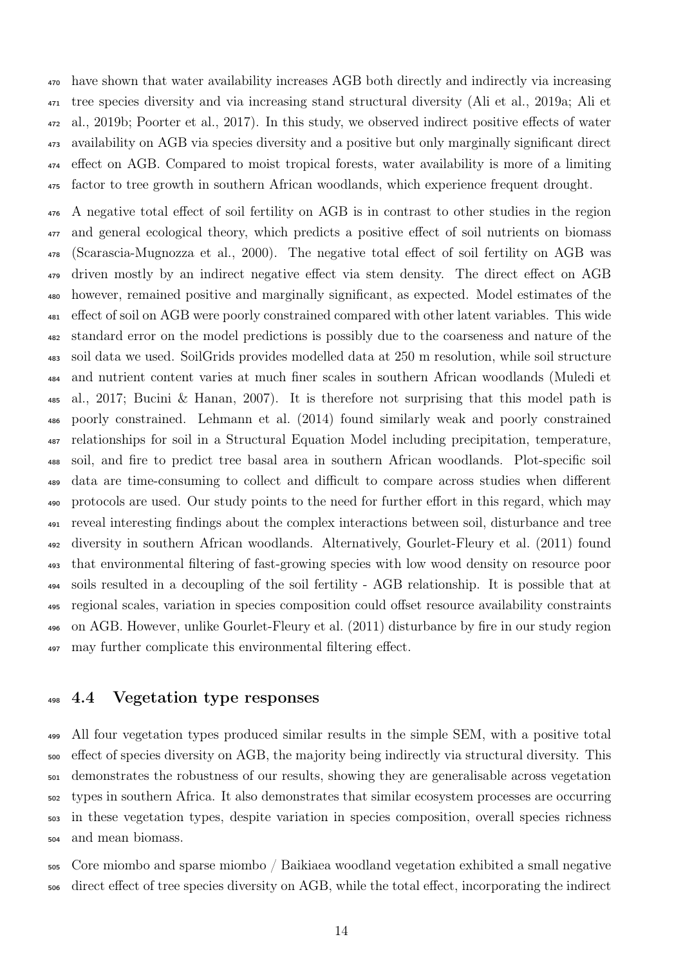have shown that water availability increases AGB both directly and indirectly via increasing tree species diversity and via increasing stand structural diversity (Ali et al., [2019a;](#page-25-1) Ali et al., [2019b;](#page-26-9) Poorter et al., [2017\)](#page-31-11). In this study, we observed indirect positive effects of water availability on AGB via species diversity and a positive but only marginally significant direct effect on AGB. Compared to moist tropical forests, water availability is more of a limiting factor to tree growth in southern African woodlands, which experience frequent drought.

 A negative total effect of soil fertility on AGB is in contrast to other studies in the region and general ecological theory, which predicts a positive effect of soil nutrients on biomass (Scarascia-Mugnozza et al., [2000\)](#page-32-10). The negative total effect of soil fertility on AGB was driven mostly by an indirect negative effect via stem density. The direct effect on AGB however, remained positive and marginally significant, as expected. Model estimates of the effect of soil on AGB were poorly constrained compared with other latent variables. This wide standard error on the model predictions is possibly due to the coarseness and nature of the soil data we used. SoilGrids provides modelled data at 250 m resolution, while soil structure and nutrient content varies at much finer scales in southern African woodlands (Muledi et al., [2017;](#page-30-11) Bucini & Hanan, [2007\)](#page-26-10). It is therefore not surprising that this model path is poorly constrained. Lehmann et al. [\(2014\)](#page-29-2) found similarly weak and poorly constrained relationships for soil in a Structural Equation Model including precipitation, temperature, soil, and fire to predict tree basal area in southern African woodlands. Plot-specific soil data are time-consuming to collect and difficult to compare across studies when different protocols are used. Our study points to the need for further effort in this regard, which may reveal interesting findings about the complex interactions between soil, disturbance and tree diversity in southern African woodlands. Alternatively, Gourlet-Fleury et al. [\(2011\)](#page-28-12) found that environmental filtering of fast-growing species with low wood density on resource poor soils resulted in a decoupling of the soil fertility - AGB relationship. It is possible that at regional scales, variation in species composition could offset resource availability constraints on AGB. However, unlike Gourlet-Fleury et al. [\(2011\)](#page-28-12) disturbance by fire in our study region may further complicate this environmental filtering effect.

### 4.4 Vegetation type responses

 All four vegetation types produced similar results in the simple SEM, with a positive total effect of species diversity on AGB, the majority being indirectly via structural diversity. This demonstrates the robustness of our results, showing they are generalisable across vegetation types in southern Africa. It also demonstrates that similar ecosystem processes are occurring in these vegetation types, despite variation in species composition, overall species richness and mean biomass.

 Core miombo and sparse miombo / Baikiaea woodland vegetation exhibited a small negative direct effect of tree species diversity on AGB, while the total effect, incorporating the indirect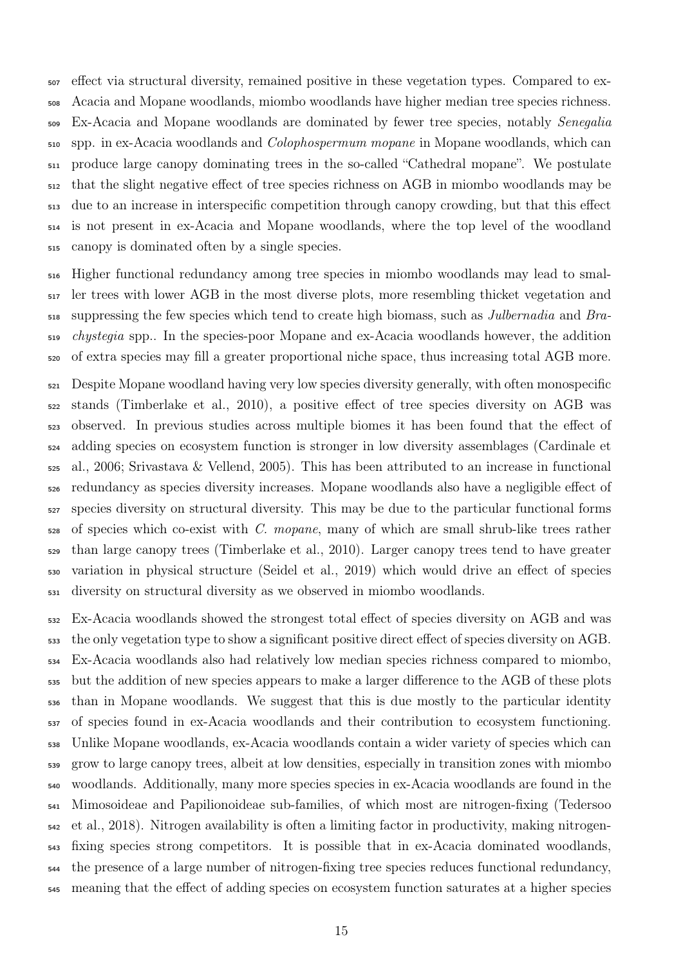effect via structural diversity, remained positive in these vegetation types. Compared to ex- Acacia and Mopane woodlands, miombo woodlands have higher median tree species richness. Ex-Acacia and Mopane woodlands are dominated by fewer tree species, notably Senegalia spp. in ex-Acacia woodlands and Colophospermum mopane in Mopane woodlands, which can produce large canopy dominating trees in the so-called "Cathedral mopane". We postulate that the slight negative effect of tree species richness on AGB in miombo woodlands may be due to an increase in interspecific competition through canopy crowding, but that this effect is not present in ex-Acacia and Mopane woodlands, where the top level of the woodland canopy is dominated often by a single species.

 Higher functional redundancy among tree species in miombo woodlands may lead to smal- ler trees with lower AGB in the most diverse plots, more resembling thicket vegetation and suppressing the few species which tend to create high biomass, such as Julbernadia and Bra- chystegia spp.. In the species-poor Mopane and ex-Acacia woodlands however, the addition of extra species may fill a greater proportional niche space, thus increasing total AGB more.

 Despite Mopane woodland having very low species diversity generally, with often monospecific stands (Timberlake et al., [2010\)](#page-33-8), a positive effect of tree species diversity on AGB was observed. In previous studies across multiple biomes it has been found that the effect of adding species on ecosystem function is stronger in low diversity assemblages (Cardinale et al., [2006;](#page-26-11) Srivastava & Vellend, [2005\)](#page-32-11). This has been attributed to an increase in functional redundancy as species diversity increases. Mopane woodlands also have a negligible effect of species diversity on structural diversity. This may be due to the particular functional forms of species which co-exist with C. mopane, many of which are small shrub-like trees rather than large canopy trees (Timberlake et al., [2010\)](#page-33-8). Larger canopy trees tend to have greater variation in physical structure (Seidel et al., [2019\)](#page-32-12) which would drive an effect of species diversity on structural diversity as we observed in miombo woodlands.

 Ex-Acacia woodlands showed the strongest total effect of species diversity on AGB and was the only vegetation type to show a significant positive direct effect of species diversity on AGB. Ex-Acacia woodlands also had relatively low median species richness compared to miombo, but the addition of new species appears to make a larger difference to the AGB of these plots than in Mopane woodlands. We suggest that this is due mostly to the particular identity of species found in ex-Acacia woodlands and their contribution to ecosystem functioning. Unlike Mopane woodlands, ex-Acacia woodlands contain a wider variety of species which can grow to large canopy trees, albeit at low densities, especially in transition zones with miombo woodlands. Additionally, many more species species in ex-Acacia woodlands are found in the Mimosoideae and Papilionoideae sub-families, of which most are nitrogen-fixing (Tedersoo et al., [2018\)](#page-33-9). Nitrogen availability is often a limiting factor in productivity, making nitrogen- fixing species strong competitors. It is possible that in ex-Acacia dominated woodlands, the presence of a large number of nitrogen-fixing tree species reduces functional redundancy, meaning that the effect of adding species on ecosystem function saturates at a higher species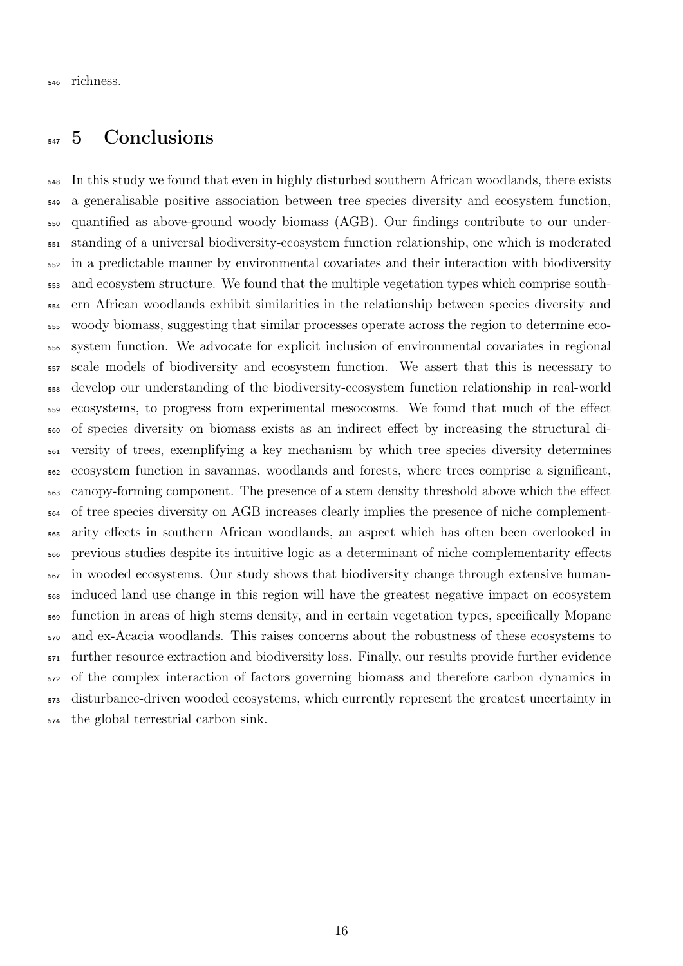richness.

### <sub>547</sub> 5 Conclusions

 In this study we found that even in highly disturbed southern African woodlands, there exists a generalisable positive association between tree species diversity and ecosystem function, quantified as above-ground woody biomass (AGB). Our findings contribute to our under- standing of a universal biodiversity-ecosystem function relationship, one which is moderated in a predictable manner by environmental covariates and their interaction with biodiversity and ecosystem structure. We found that the multiple vegetation types which comprise south- ern African woodlands exhibit similarities in the relationship between species diversity and woody biomass, suggesting that similar processes operate across the region to determine eco- system function. We advocate for explicit inclusion of environmental covariates in regional scale models of biodiversity and ecosystem function. We assert that this is necessary to develop our understanding of the biodiversity-ecosystem function relationship in real-world ecosystems, to progress from experimental mesocosms. We found that much of the effect of species diversity on biomass exists as an indirect effect by increasing the structural di- versity of trees, exemplifying a key mechanism by which tree species diversity determines ecosystem function in savannas, woodlands and forests, where trees comprise a significant, canopy-forming component. The presence of a stem density threshold above which the effect of tree species diversity on AGB increases clearly implies the presence of niche complement- arity effects in southern African woodlands, an aspect which has often been overlooked in previous studies despite its intuitive logic as a determinant of niche complementarity effects in wooded ecosystems. Our study shows that biodiversity change through extensive human- induced land use change in this region will have the greatest negative impact on ecosystem function in areas of high stems density, and in certain vegetation types, specifically Mopane and ex-Acacia woodlands. This raises concerns about the robustness of these ecosystems to further resource extraction and biodiversity loss. Finally, our results provide further evidence of the complex interaction of factors governing biomass and therefore carbon dynamics in disturbance-driven wooded ecosystems, which currently represent the greatest uncertainty in the global terrestrial carbon sink.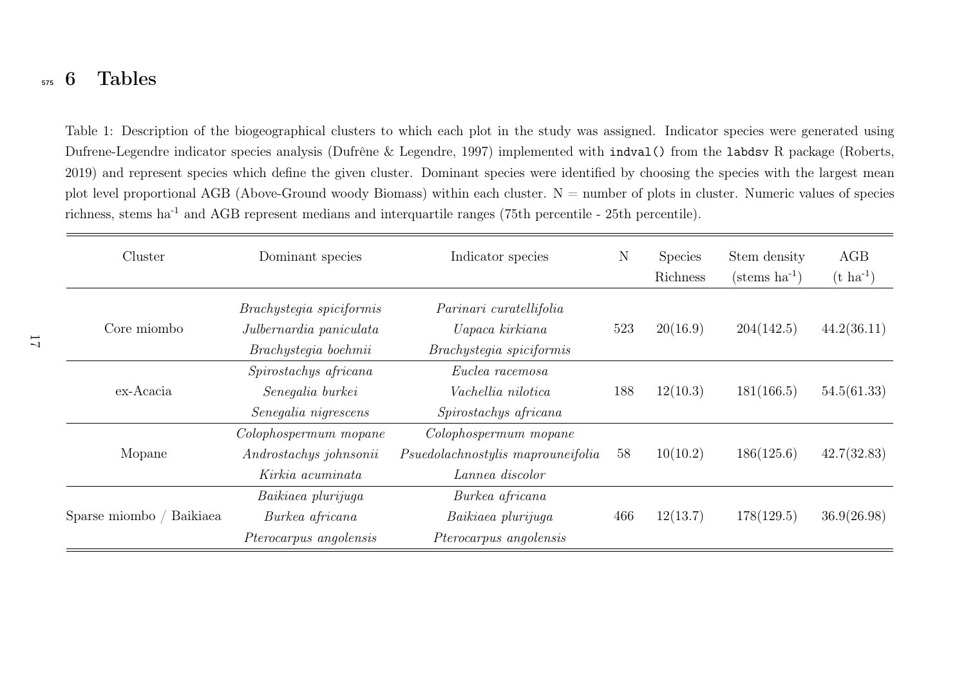#### <span id="page-16-0"></span>5756 Tables

Table 1: Description of the biogeographical clusters to which each <sup>p</sup>lot in the study was assigned. Indicator species were generated usingDufrene-Legendre indicator species analysis (Dufrêne & Legendre, [1997\)](#page-27-11) implemented with indval() from the labdsv <sup>R</sup> package (Roberts, [2019\)](#page-31-12) and represent species which define the <sup>g</sup>iven cluster. Dominant species were identified by choosing the species with the largest meanplot level proportional AGB (Above-Ground woody Biomass) within each cluster.  $N =$  number of plots in cluster. Numeric values of species richness, stems ha<sup>-1</sup> and AGB represent medians and interquartile ranges (75th percentile - 25th percentile).

<span id="page-16-1"></span>

| Cluster                  | Dominant species                                                                                                                                      | Indicator species                                                             |                 | <b>Species</b><br>Richness | Stem density<br>$(\text{stems ha}^{-1})$ | AGB<br>$(t \text{ ha}^{-1})$ |
|--------------------------|-------------------------------------------------------------------------------------------------------------------------------------------------------|-------------------------------------------------------------------------------|-----------------|----------------------------|------------------------------------------|------------------------------|
| Core miombo              | Brachystegia spiciformis<br>Parinari curatellifolia<br>Julbernardia paniculata<br>Uapaca kirkiana<br>Brachystegia boehmii<br>Brachystegia spiciformis |                                                                               | 523             | 20(16.9)                   | 204(142.5)                               | 44.2(36.11)                  |
| ex-Acacia                | Spirostachys africana<br>Senegalia burkei<br>Senegalia nigrescens                                                                                     | Euclea racemosa<br>Vachellia nilotica<br>Spirostachys africana                | 12(10.3)<br>188 |                            | 181(166.5)                               | 54.5(61.33)                  |
| Mopane                   | Colophospermum mopane<br>Androstachys johnsonii<br>Kirkia acuminata                                                                                   | Colophospermum mopane<br>Psuedolachnostylis maprouneifolia<br>Lannea discolor |                 | 10(10.2)                   | 186(125.6)                               | 42.7(32.83)                  |
| Sparse miombo / Baikiaea | Baikiaea plurijuga<br>Burkea africana<br><i>Pterocarpus angolensis</i>                                                                                | Burkea africana<br>Baikiaea plurijuga<br>Pterocarpus angolensis               |                 | 12(13.7)                   | 178(129.5)                               | 36.9(26.98)                  |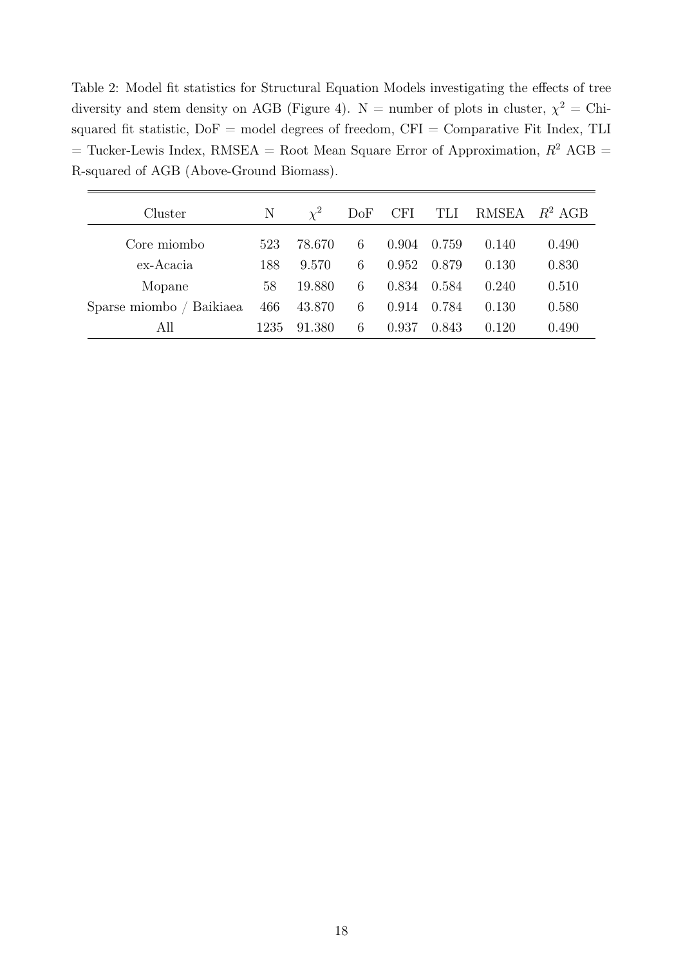<span id="page-17-0"></span>Table 2: Model fit statistics for Structural Equation Models investigating the effects of tree diversity and stem density on AGB [\(Figure 4\)](#page-21-0).  $N =$  number of plots in cluster,  $\chi^2 =$  Chisquared fit statistic,  $DoF$  = model degrees of freedom,  $CFI$  = Comparative Fit Index, TLI = Tucker-Lewis Index, RMSEA = Root Mean Square Error of Approximation,  $R^2$  AGB = R-squared of AGB (Above-Ground Biomass).

| Cluster                  | N    | $\chi^2$ | DoF | <b>CFI</b> | TLI   | RMSEA | $R^2$ AGB |
|--------------------------|------|----------|-----|------------|-------|-------|-----------|
| Core miombo              | 523  | 78.670   | 6   | 0.904      | 0.759 | 0.140 | 0.490     |
| ex-Acacia                | 188  | 9.570    | 6   | 0.952      | 0.879 | 0.130 | 0.830     |
| Mopane                   | 58   | 19.880   | 6   | 0.834      | 0.584 | 0.240 | 0.510     |
| Sparse miombo / Baikiaea | 466  | 43.870   | 6   | 0.914      | 0.784 | 0.130 | 0.580     |
| All                      | 1235 | 91.380   | 6   | 0.937      | 0.843 | 0.120 | 0.490     |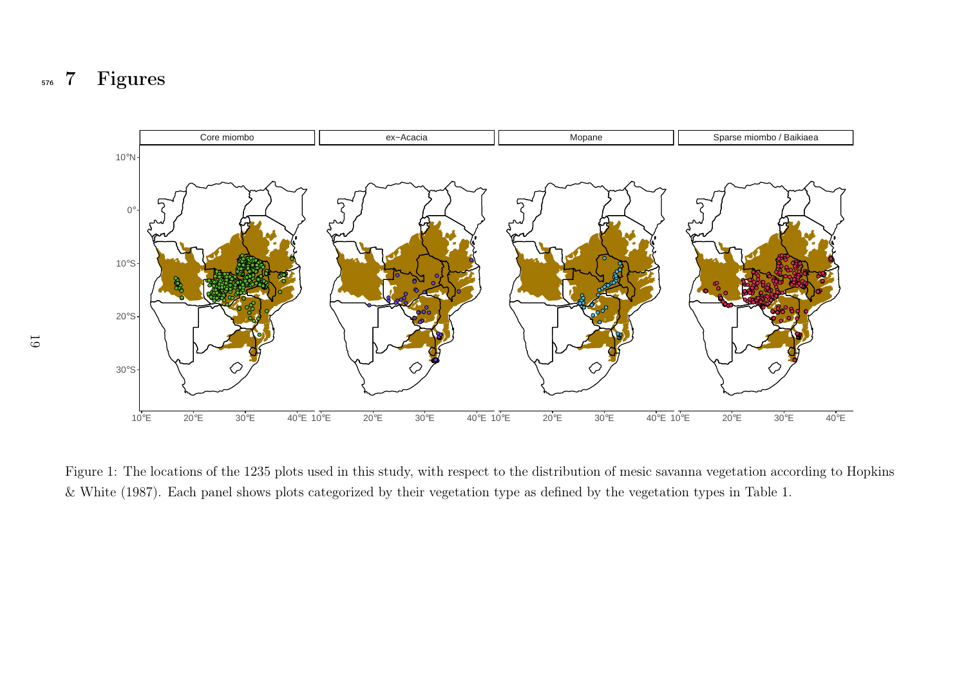<span id="page-18-0"></span>5767 Figures



Figure 1: The locations of the 1235 <sup>p</sup>lots used in this study, with respect to the distribution of mesic savanna vegetation according to Hopkins& White ([1987\)](#page-28-13). Each pane<sup>l</sup> shows <sup>p</sup>lots categorized by their vegetation type as defined by the vegetation types in [Table](#page-16-1) 1.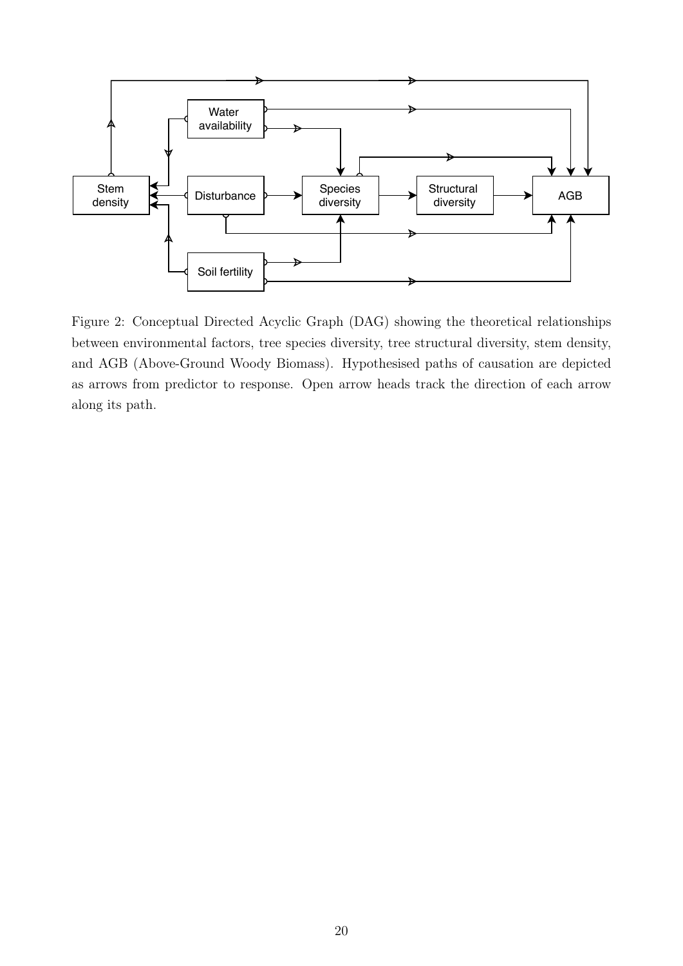

<span id="page-19-0"></span>Figure 2: Conceptual Directed Acyclic Graph (DAG) showing the theoretical relationships between environmental factors, tree species diversity, tree structural diversity, stem density, and AGB (Above-Ground Woody Biomass). Hypothesised paths of causation are depicted as arrows from predictor to response. Open arrow heads track the direction of each arrow along its path.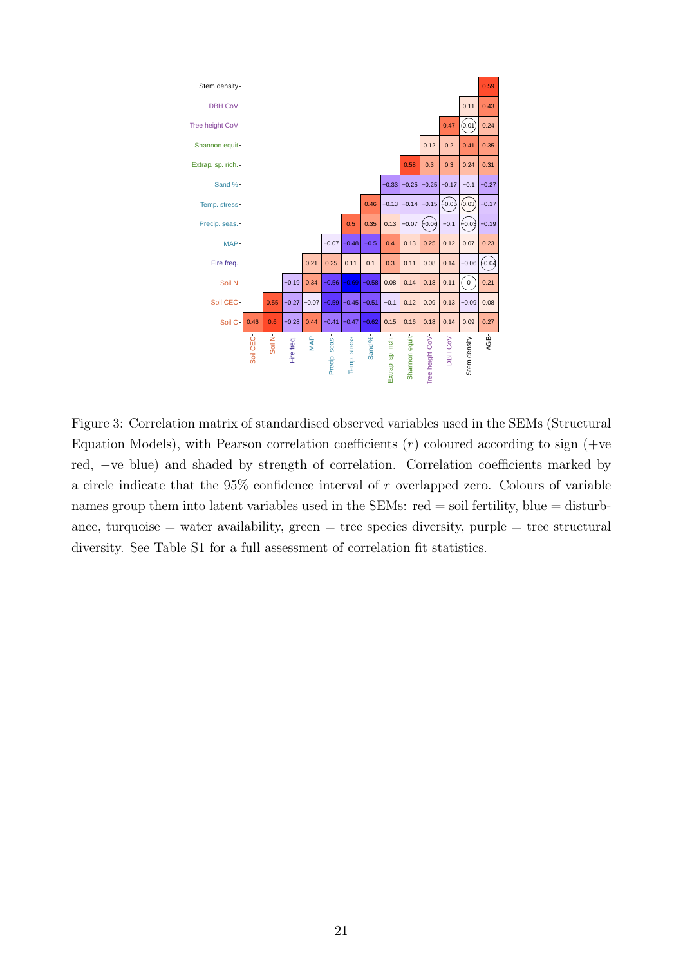

<span id="page-20-0"></span>Figure 3: Correlation matrix of standardised observed variables used in the SEMs (Structural Equation Models), with Pearson correlation coefficients  $(r)$  coloured according to sign  $(+ve$ red, −ve blue) and shaded by strength of correlation. Correlation coefficients marked by a circle indicate that the 95% confidence interval of r overlapped zero. Colours of variable names group them into latent variables used in the SEMs:  $red = soil$  fertility, blue  $=$  disturbance, turquoise  $=$  water availability, green  $=$  tree species diversity, purple  $=$  tree structural diversity. See Table S1 for a full assessment of correlation fit statistics.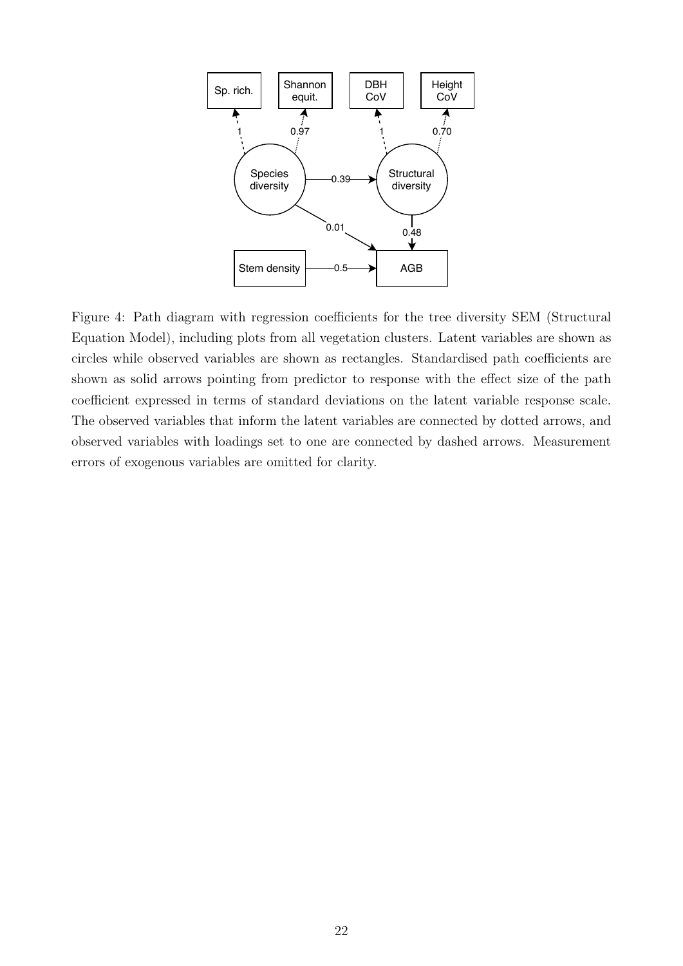

<span id="page-21-0"></span>Figure 4: Path diagram with regression coefficients for the tree diversity SEM (Structural Equation Model), including plots from all vegetation clusters. Latent variables are shown as circles while observed variables are shown as rectangles. Standardised path coefficients are shown as solid arrows pointing from predictor to response with the effect size of the path coefficient expressed in terms of standard deviations on the latent variable response scale. The observed variables that inform the latent variables are connected by dotted arrows, and observed variables with loadings set to one are connected by dashed arrows. Measurement errors of exogenous variables are omitted for clarity.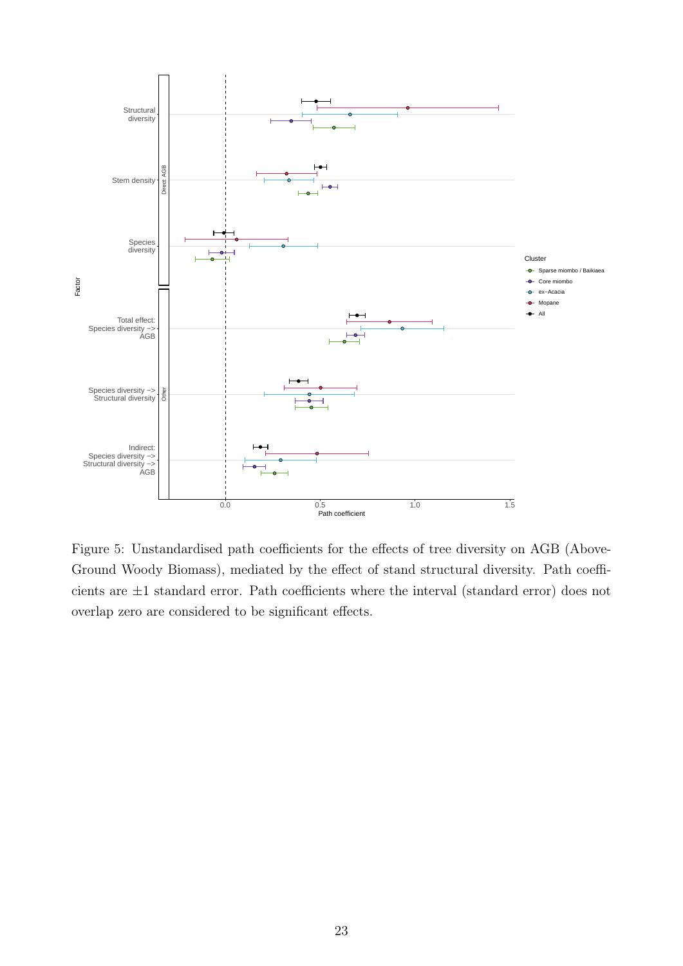

<span id="page-22-0"></span>Figure 5: Unstandardised path coefficients for the effects of tree diversity on AGB (Above-Ground Woody Biomass), mediated by the effect of stand structural diversity. Path coefficients are ±1 standard error. Path coefficients where the interval (standard error) does not overlap zero are considered to be significant effects.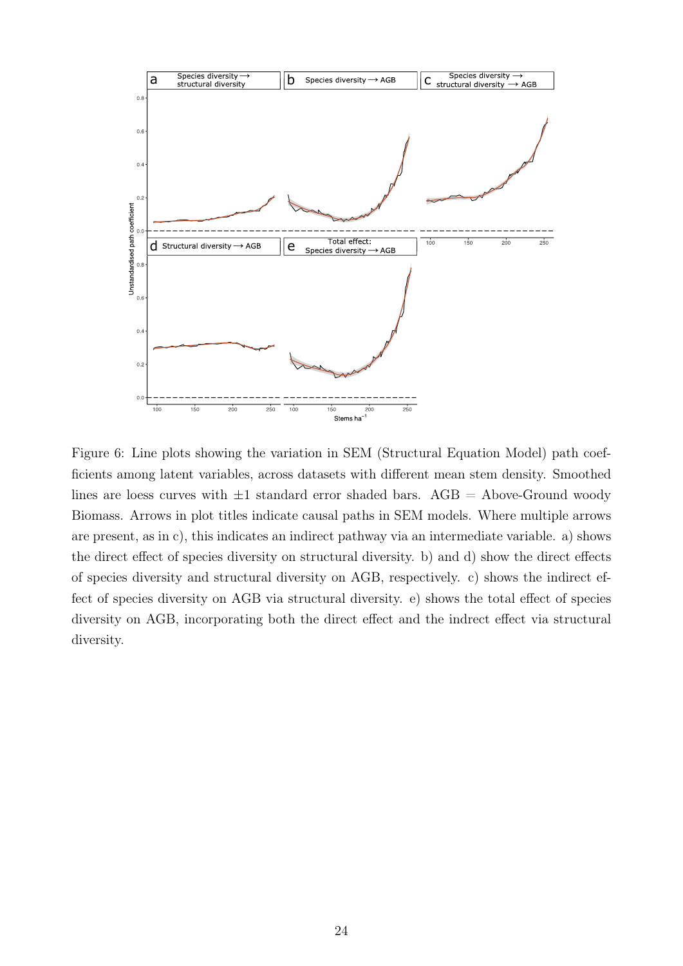

<span id="page-23-0"></span>Figure 6: Line plots showing the variation in SEM (Structural Equation Model) path coefficients among latent variables, across datasets with different mean stem density. Smoothed lines are loess curves with  $\pm 1$  standard error shaded bars. AGB = Above-Ground woody Biomass. Arrows in plot titles indicate causal paths in SEM models. Where multiple arrows are present, as in c), this indicates an indirect pathway via an intermediate variable. a) shows the direct effect of species diversity on structural diversity. b) and d) show the direct effects of species diversity and structural diversity on AGB, respectively. c) shows the indirect effect of species diversity on AGB via structural diversity. e) shows the total effect of species diversity on AGB, incorporating both the direct effect and the indrect effect via structural diversity.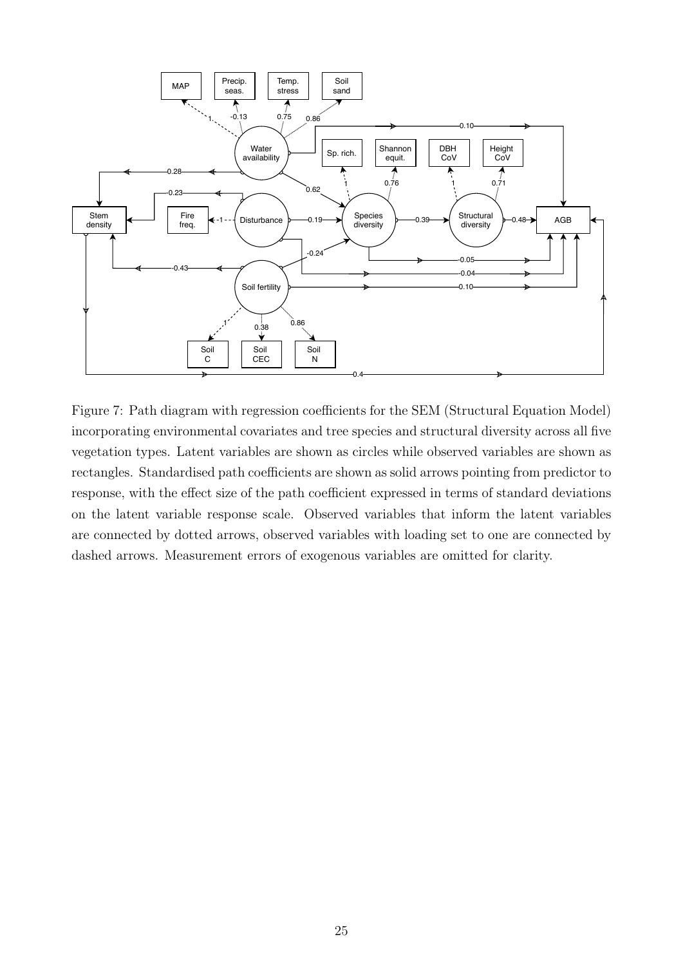

<span id="page-24-0"></span>Figure 7: Path diagram with regression coefficients for the SEM (Structural Equation Model) incorporating environmental covariates and tree species and structural diversity across all five vegetation types. Latent variables are shown as circles while observed variables are shown as rectangles. Standardised path coefficients are shown as solid arrows pointing from predictor to response, with the effect size of the path coefficient expressed in terms of standard deviations on the latent variable response scale. Observed variables that inform the latent variables are connected by dotted arrows, observed variables with loading set to one are connected by dashed arrows. Measurement errors of exogenous variables are omitted for clarity.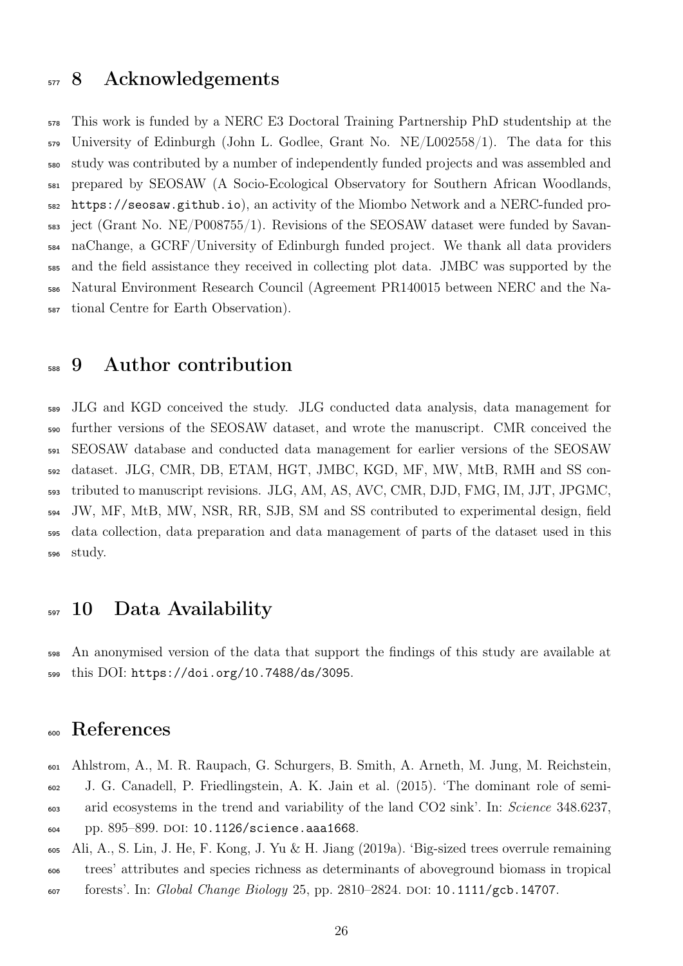### <sup>577</sup> 8 Acknowledgements

 This work is funded by a NERC E3 Doctoral Training Partnership PhD studentship at the University of Edinburgh (John L. Godlee, Grant No. NE/L002558/1). The data for this study was contributed by a number of independently funded projects and was assembled and prepared by SEOSAW (A Socio-Ecological Observatory for Southern African Woodlands, <https://seosaw.github.io>), an activity of the Miombo Network and a NERC-funded pro- ject (Grant No. NE/P008755/1). Revisions of the SEOSAW dataset were funded by Savan- naChange, a GCRF/University of Edinburgh funded project. We thank all data providers and the field assistance they received in collecting plot data. JMBC was supported by the Natural Environment Research Council (Agreement PR140015 between NERC and the Na-tional Centre for Earth Observation).

### 9 Author contribution

 JLG and KGD conceived the study. JLG conducted data analysis, data management for further versions of the SEOSAW dataset, and wrote the manuscript. CMR conceived the SEOSAW database and conducted data management for earlier versions of the SEOSAW dataset. JLG, CMR, DB, ETAM, HGT, JMBC, KGD, MF, MW, MtB, RMH and SS con- tributed to manuscript revisions. JLG, AM, AS, AVC, CMR, DJD, FMG, IM, JJT, JPGMC, JW, MF, MtB, MW, NSR, RR, SJB, SM and SS contributed to experimental design, field data collection, data preparation and data management of parts of the dataset used in this study.

### 10 Data Availability

 An anonymised version of the data that support the findings of this study are available at this DOI: <https://doi.org/10.7488/ds/3095>.

# References

<span id="page-25-0"></span> Ahlstrom, A., M. R. Raupach, G. Schurgers, B. Smith, A. Arneth, M. Jung, M. Reichstein, J. G. Canadell, P. Friedlingstein, A. K. Jain et al. (2015). 'The dominant role of semi- arid ecosystems in the trend and variability of the land CO2 sink'. In: Science 348.6237, pp. 895–899. doi: [10.1126/science.aaa1668](https://doi.org/10.1126/science.aaa1668).

<span id="page-25-1"></span>Ali, A., S. Lin, J. He, F. Kong, J. Yu & H. Jiang (2019a). 'Big-sized trees overrule remaining

trees' attributes and species richness as determinants of aboveground biomass in tropical

607 forests'. In: Global Change Biology 25, pp. 2810–2824. DOI: [10.1111/gcb.14707](https://doi.org/10.1111/gcb.14707).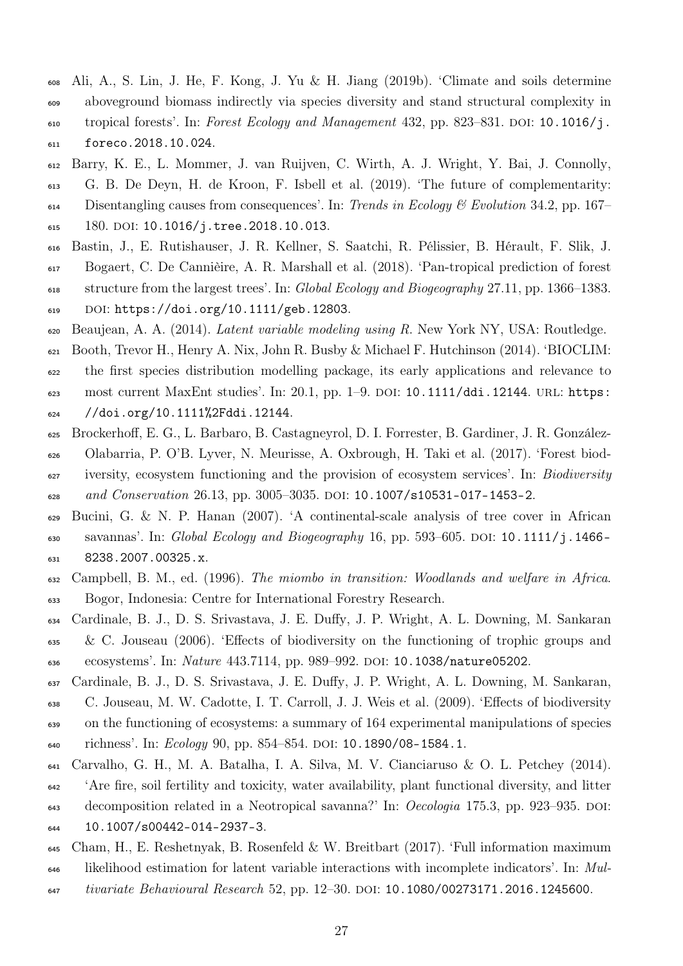- <span id="page-26-9"></span> Ali, A., S. Lin, J. He, F. Kong, J. Yu & H. Jiang (2019b). 'Climate and soils determine aboveground biomass indirectly via species diversity and stand structural complexity in  $\mu$ <sub>610</sub> tropical forests'. In: Forest Ecology and Management 432, pp. 823–831. DOI: [10.1016/j.](https://doi.org/10.1016/j.foreco.2018.10.024)
- [foreco.2018.10.024](https://doi.org/10.1016/j.foreco.2018.10.024).
- <span id="page-26-2"></span> Barry, K. E., L. Mommer, J. van Ruijven, C. Wirth, A. J. Wright, Y. Bai, J. Connolly, G. B. De Deyn, H. de Kroon, F. Isbell et al. (2019). 'The future of complementarity:  $\mu_{614}$  Disentangling causes from consequences'. In: Trends in Ecology & Evolution 34.2, pp. 167–
- 615 180. DOI: [10.1016/j.tree.2018.10.013](https://doi.org/10.1016/j.tree.2018.10.013).
- <span id="page-26-8"></span> Bastin, J., E. Rutishauser, J. R. Kellner, S. Saatchi, R. Pélissier, B. Hérault, F. Slik, J. Bogaert, C. De Cannièire, A. R. Marshall et al. (2018). 'Pan-tropical prediction of forest
- structure from the largest trees'. In: Global Ecology and Biogeography 27.11, pp. 1366–1383.
- $_{619}$  DOI: [https://doi.org/10.1111/geb.12803](https://doi.org/https://doi.org/10.1111/geb.12803).
- <span id="page-26-6"></span>Beaujean, A. A. (2014). Latent variable modeling using R. New York NY, USA: Routledge.
- <span id="page-26-5"></span> Booth, Trevor H., Henry A. Nix, John R. Busby & Michael F. Hutchinson (2014). 'BIOCLIM: the first species distribution modelling package, its early applications and relevance to
- 623 most current MaxEnt studies'. In: 20.1, pp. 1-9. DOI: [10.1111/ddi.12144](https://doi.org/10.1111/ddi.12144). URL: [https:](https://doi.org/10.1111%2Fddi.12144)
- [//doi.org/10.1111%2Fddi.12144](https://doi.org/10.1111%2Fddi.12144).
- <span id="page-26-1"></span> Brockerhoff, E. G., L. Barbaro, B. Castagneyrol, D. I. Forrester, B. Gardiner, J. R. González- Olabarria, P. O'B. Lyver, N. Meurisse, A. Oxbrough, H. Taki et al. (2017). 'Forest biod- iversity, ecosystem functioning and the provision of ecosystem services'. In: Biodiversity 628 and Conservation 26.13, pp. 3005-3035. DOI: [10.1007/s10531-017-1453-2](https://doi.org/10.1007/s10531-017-1453-2).
- <span id="page-26-10"></span>629 Bucini, G. & N. P. Hanan (2007). 'A continental-scale analysis of tree cover in African 630 savannas'. In: Global Ecology and Biogeography 16, pp. 593–605. DOI:  $10.1111/j.1466$ [8238.2007.00325.x](https://doi.org/10.1111/j.1466-8238.2007.00325.x).
- <span id="page-26-3"></span> Campbell, B. M., ed. (1996). The miombo in transition: Woodlands and welfare in Africa. Bogor, Indonesia: Centre for International Forestry Research.
- <span id="page-26-11"></span> Cardinale, B. J., D. S. Srivastava, J. E. Duffy, J. P. Wright, A. L. Downing, M. Sankaran & C. Jouseau (2006). 'Effects of biodiversity on the functioning of trophic groups and 636 ecosystems'. In: Nature 443.7114, pp. 989-992. DOI: [10.1038/nature05202](https://doi.org/10.1038/nature05202).
- <span id="page-26-0"></span>Cardinale, B. J., D. S. Srivastava, J. E. Duffy, J. P. Wright, A. L. Downing, M. Sankaran,
- C. Jouseau, M. W. Cadotte, I. T. Carroll, J. J. Weis et al. (2009). 'Effects of biodiversity on the functioning of ecosystems: a summary of 164 experimental manipulations of species
- 640 richness'. In: *Ecology* 90, pp. 854–854. DOI: [10.1890/08-1584.1](https://doi.org/10.1890/08-1584.1).
- <span id="page-26-4"></span>Carvalho, G. H., M. A. Batalha, I. A. Silva, M. V. Cianciaruso & O. L. Petchey (2014).
- 'Are fire, soil fertility and toxicity, water availability, plant functional diversity, and litter
- decomposition related in a Neotropical savanna?' In: Oecologia 175.3, pp. 923–935. doi:
- [10.1007/s00442-014-2937-3](https://doi.org/10.1007/s00442-014-2937-3).
- <span id="page-26-7"></span>Cham, H., E. Reshetnyak, B. Rosenfeld & W. Breitbart (2017). 'Full information maximum
- likelihood estimation for latent variable interactions with incomplete indicators'. In: Mul-
- 647 tivariate Behavioural Research 52, pp. 12-30. DOI: [10.1080/00273171.2016.1245600](https://doi.org/10.1080/00273171.2016.1245600).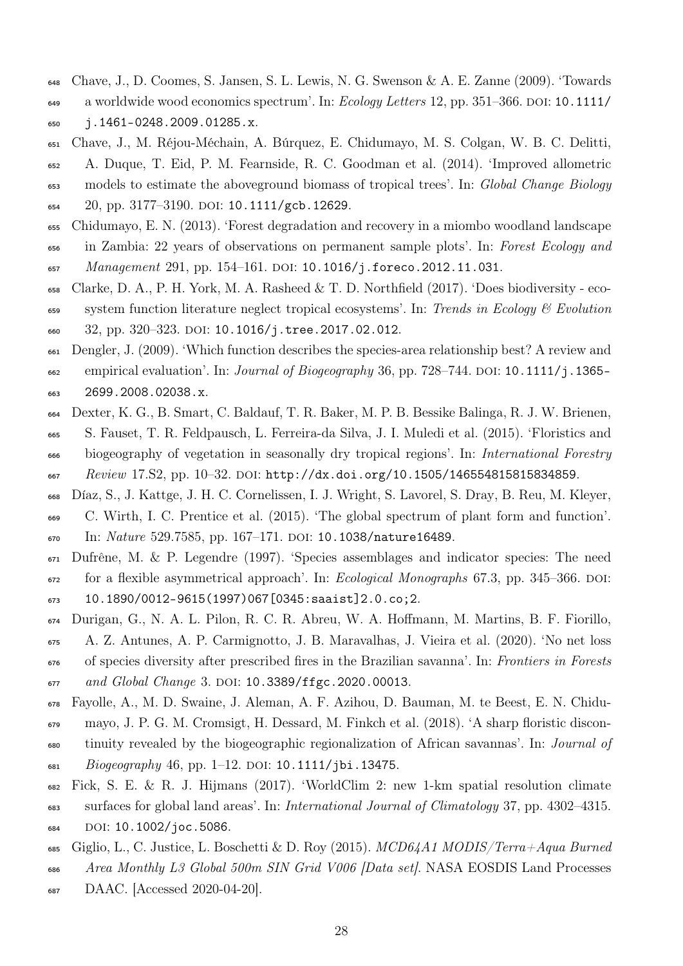- <span id="page-27-11"></span><span id="page-27-4"></span>Chave, J., D. Coomes, S. Jansen, S. L. Lewis, N. G. Swenson & A. E. Zanne (2009). 'Towards
- $\mu_{\rm 649}$  a worldwide wood economics spectrum'. In: Ecology Letters 12, pp. 351–366. DOI: [10.1111/](https://doi.org/10.1111/j.1461-0248.2009.01285.x) [j.1461-0248.2009.01285.x](https://doi.org/10.1111/j.1461-0248.2009.01285.x).
- <span id="page-27-3"></span> Chave, J., M. Réjou-Méchain, A. Búrquez, E. Chidumayo, M. S. Colgan, W. B. C. Delitti, A. Duque, T. Eid, P. M. Fearnside, R. C. Goodman et al. (2014). 'Improved allometric models to estimate the aboveground biomass of tropical trees'. In: Global Change Biology 20, pp. 3177-3190. DOI: [10.1111/gcb.12629](https://doi.org/10.1111/gcb.12629).
- <span id="page-27-9"></span>Chidumayo, E. N. (2013). 'Forest degradation and recovery in a miombo woodland landscape
- in Zambia: 22 years of observations on permanent sample plots'. In: Forest Ecology and
- 657 Management 291, pp. 154-161. DOI: [10.1016/j.foreco.2012.11.031](https://doi.org/10.1016/j.foreco.2012.11.031).
- <span id="page-27-0"></span> Clarke, D. A., P. H. York, M. A. Rasheed & T. D. Northfield (2017). 'Does biodiversity - eco- $\epsilon_{59}$  system function literature neglect tropical ecosystems'. In: Trends in Ecology & Evolution 660 32, pp. 320-323. DOI: [10.1016/j.tree.2017.02.012](https://doi.org/10.1016/j.tree.2017.02.012).
- <span id="page-27-6"></span> Dengler, J. (2009). 'Which function describes the species-area relationship best? A review and  $\epsilon_{62}$  empirical evaluation'. In: *Journal of Biogeography* 36, pp. 728–744. DOI: 10.1111/j.1365– [2699.2008.02038.x](https://doi.org/10.1111/j.1365-2699.2008.02038.x).
- <span id="page-27-1"></span> Dexter, K. G., B. Smart, C. Baldauf, T. R. Baker, M. P. B. Bessike Balinga, R. J. W. Brienen, S. Fauset, T. R. Feldpausch, L. Ferreira-da Silva, J. I. Muledi et al. (2015). 'Floristics and biogeography of vegetation in seasonally dry tropical regions'. In: International Forestry 667 Review 17. S2, pp. 10–32. DOI: [http://dx.doi.org/10.1505/146554815815834859](https://doi.org/http://dx.doi.org/10.1505/146554815815834859).
- <span id="page-27-8"></span>Díaz, S., J. Kattge, J. H. C. Cornelissen, I. J. Wright, S. Lavorel, S. Dray, B. Reu, M. Kleyer,
- C. Wirth, I. C. Prentice et al. (2015). 'The global spectrum of plant form and function'. 670 In: Nature 529.7585, pp. 167-171. DOI: [10.1038/nature16489](https://doi.org/10.1038/nature16489).
- Dufrêne, M. & P. Legendre (1997). 'Species assemblages and indicator species: The need for a flexible asymmetrical approach'. In: *Ecological Monographs* 67.3, pp. 345–366. DOI:
- [10.1890/0012-9615\(1997\)067\[0345:saaist\]2.0.co;2](https://doi.org/10.1890/0012-9615(1997)067[0345:saaist]2.0.co;2).
- <span id="page-27-10"></span> Durigan, G., N. A. L. Pilon, R. C. R. Abreu, W. A. Hoffmann, M. Martins, B. F. Fiorillo, A. Z. Antunes, A. P. Carmignotto, J. B. Maravalhas, J. Vieira et al. (2020). 'No net loss of species diversity after prescribed fires in the Brazilian savanna'. In: Frontiers in Forests
- 677 and Global Change 3. DOI: [10.3389/ffgc.2020.00013](https://doi.org/10.3389/ffgc.2020.00013).
- <span id="page-27-7"></span>Fayolle, A., M. D. Swaine, J. Aleman, A. F. Azihou, D. Bauman, M. te Beest, E. N. Chidu-
- mayo, J. P. G. M. Cromsigt, H. Dessard, M. Finkch et al. (2018). 'A sharp floristic discon-
- tinuity revealed by the biogeographic regionalization of African savannas'. In: Journal of 681 Biogeography 46, pp. 1–12. DOI: [10.1111/jbi.13475](https://doi.org/10.1111/jbi.13475).
- <span id="page-27-2"></span>Fick, S. E. & R. J. Hijmans (2017). 'WorldClim 2: new 1-km spatial resolution climate
- surfaces for global land areas'. In: International Journal of Climatology 37, pp. 4302–4315. 684 DOI: [10.1002/joc.5086](https://doi.org/10.1002/joc.5086).
- <span id="page-27-5"></span>685 Giglio, L., C. Justice, L. Boschetti & D. Roy (2015).  $MCD64A1 MODIS/Term + Aqua Burned$
- Area Monthly L3 Global 500m SIN Grid V006 [Data set]. NASA EOSDIS Land Processes
- DAAC. [Accessed 2020-04-20].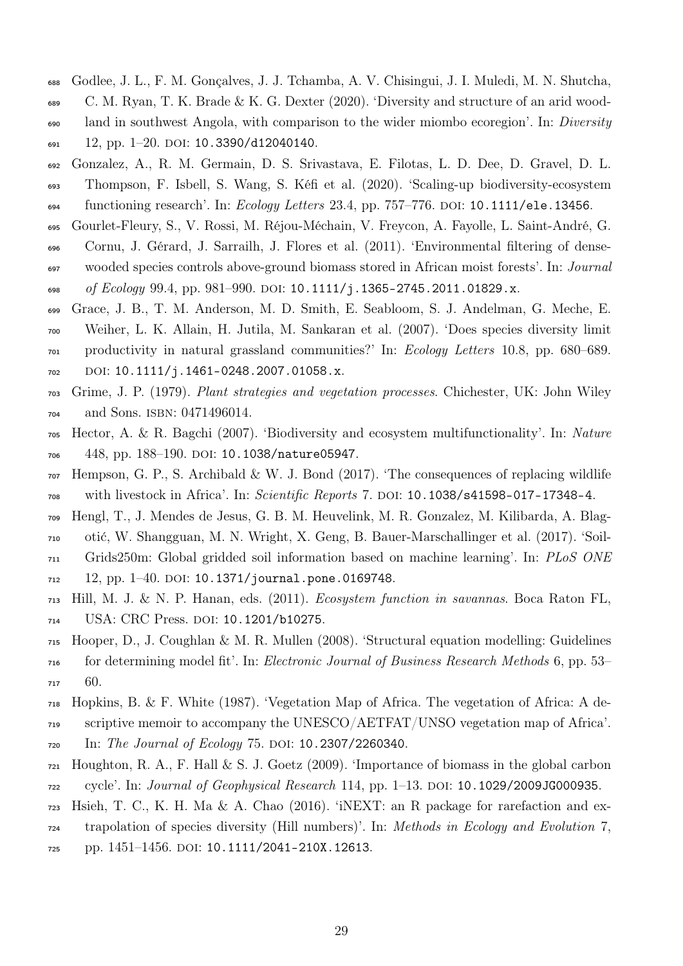- <span id="page-28-13"></span><span id="page-28-7"></span> Godlee, J. L., F. M. Gonçalves, J. J. Tchamba, A. V. Chisingui, J. I. Muledi, M. N. Shutcha, C. M. Ryan, T. K. Brade & K. G. Dexter (2020). 'Diversity and structure of an arid wood-<sup>690</sup> land in southwest Angola, with comparison to the wider miombo ecoregion'. In: *Diversity* 12, pp. 1–20. DOI: [10.3390/d12040140](https://doi.org/10.3390/d12040140).
- <span id="page-28-4"></span> Gonzalez, A., R. M. Germain, D. S. Srivastava, E. Filotas, L. D. Dee, D. Gravel, D. L. Thompson, F. Isbell, S. Wang, S. Kéfi et al. (2020). 'Scaling-up biodiversity-ecosystem functioning research'. In: *Ecology Letters* 23.4, pp. 757–776. DOI: [10.1111/ele.13456](https://doi.org/10.1111/ele.13456).
- <span id="page-28-12"></span>Gourlet-Fleury, S., V. Rossi, M. Réjou-Méchain, V. Freycon, A. Fayolle, L. Saint-André, G.
- Cornu, J. Gérard, J. Sarrailh, J. Flores et al. (2011). 'Environmental filtering of dense- wooded species controls above-ground biomass stored in African moist forests'. In: Journal 698 of Ecology 99.4, pp. 981–990. DOI: [10.1111/j.1365-2745.2011.01829.x](https://doi.org/10.1111/j.1365-2745.2011.01829.x).
- <span id="page-28-5"></span> Grace, J. B., T. M. Anderson, M. D. Smith, E. Seabloom, S. J. Andelman, G. Meche, E. Weiher, L. K. Allain, H. Jutila, M. Sankaran et al. (2007). 'Does species diversity limit productivity in natural grassland communities?' In: Ecology Letters 10.8, pp. 680–689. 702 DOI: [10.1111/j.1461-0248.2007.01058.x](https://doi.org/10.1111/j.1461-0248.2007.01058.x).
- <span id="page-28-3"></span>Grime, J. P. (1979). Plant strategies and vegetation processes. Chichester, UK: John Wiley
- <span id="page-28-0"></span>and Sons. isbn: 0471496014.
- Hector, A. & R. Bagchi (2007). 'Biodiversity and ecosystem multifunctionality'. In: Nature 706 448, pp. 188-190. DOI: [10.1038/nature05947](https://doi.org/10.1038/nature05947).
- <span id="page-28-9"></span> Hempson, G. P., S. Archibald & W. J. Bond (2017). 'The consequences of replacing wildlife <sup>708</sup> with livestock in Africa'. In: Scientific Reports 7. DOI: [10.1038/s41598-017-17348-4](https://doi.org/10.1038/s41598-017-17348-4).
- <span id="page-28-8"></span> Hengl, T., J. Mendes de Jesus, G. B. M. Heuvelink, M. R. Gonzalez, M. Kilibarda, A. Blag-otić, W. Shangguan, M. N. Wright, X. Geng, B. Bauer-Marschallinger et al. (2017). 'Soil-
- Grids250m: Global gridded soil information based on machine learning'. In: PLoS ONE
- 12, pp. 1–40. DOI: [10.1371/journal.pone.0169748](https://doi.org/10.1371/journal. pone.0169748).
- <span id="page-28-6"></span> Hill, M. J. & N. P. Hanan, eds. (2011). Ecosystem function in savannas. Boca Raton FL, USA: CRC Press. doi: [10.1201/b10275](https://doi.org/10.1201/b10275).
- <span id="page-28-11"></span> Hooper, D., J. Coughlan & M. R. Mullen (2008). 'Structural equation modelling: Guidelines for determining model fit'. In: Electronic Journal of Business Research Methods 6, pp. 53– 60.
- <span id="page-28-1"></span> Hopkins, B. & F. White (1987). 'Vegetation Map of Africa. The vegetation of Africa: A de-scriptive memoir to accompany the UNESCO/AETFAT/UNSO vegetation map of Africa'.
- 720 In: The Journal of Ecology 75. DOI: [10.2307/2260340](https://doi.org/10.2307/2260340).
- <span id="page-28-2"></span> Houghton, R. A., F. Hall & S. J. Goetz (2009). 'Importance of biomass in the global carbon  $_{722}$  cycle'. In: *Journal of Geophysical Research* 114, pp. 1–13. DOI: [10.1029/2009JG000935](https://doi.org/10.1029/2009JG000935).
- <span id="page-28-10"></span>Hsieh, T. C., K. H. Ma & A. Chao (2016). 'iNEXT: an R package for rarefaction and ex-
- trapolation of species diversity (Hill numbers)'. In: Methods in Ecology and Evolution 7,
- pp. 1451–1456. doi: [10.1111/2041-210X.12613](https://doi.org/10.1111/2041-210X.12613).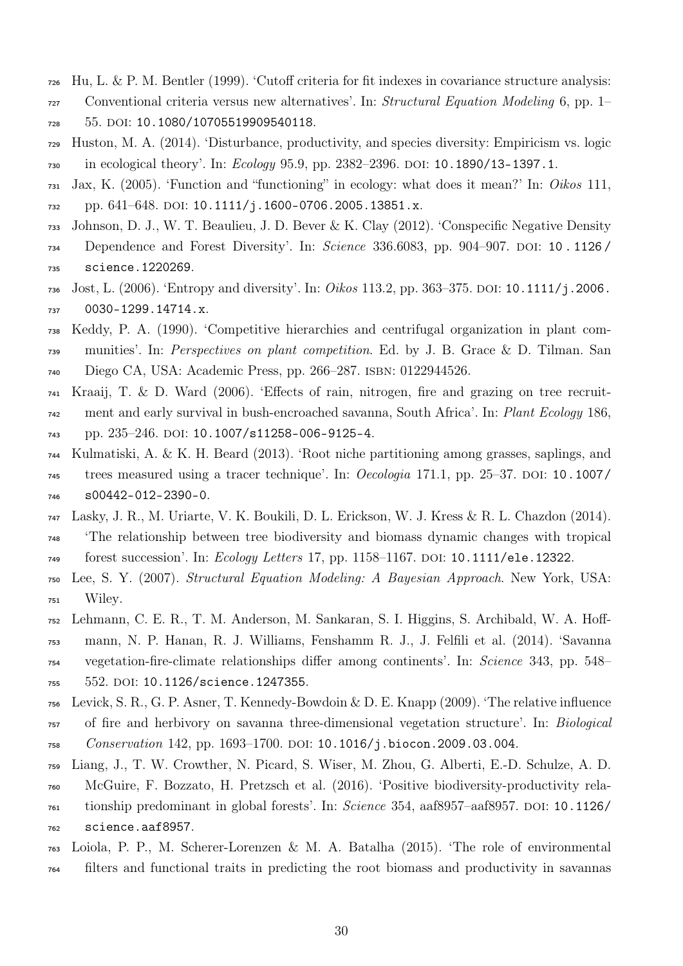- <span id="page-29-9"></span>Hu, L. & P. M. Bentler (1999). 'Cutoff criteria for fit indexes in covariance structure analysis:
- Conventional criteria versus new alternatives'. In: Structural Equation Modeling 6, pp. 1– 55. doi: [10.1080/10705519909540118](https://doi.org/10.1080/10705519909540118).
- <span id="page-29-11"></span> Huston, M. A. (2014). 'Disturbance, productivity, and species diversity: Empiricism vs. logic 730 in ecological theory'. In: *Ecology* 95.9, pp. 2382–2396. DOI: [10.1890/13-1397.1](https://doi.org/10.1890/13-1397.1).
- <span id="page-29-1"></span> Jax, K. (2005). 'Function and "functioning" in ecology: what does it mean?' In: Oikos 111,  $p. 641–648.$  DOI: [10.1111/j.1600-0706.2005.13851.x](https://doi.org/10.1111/j.1600-0706.2005.13851.x).
- <span id="page-29-12"></span> Johnson, D. J., W. T. Beaulieu, J. D. Bever & K. Clay (2012). 'Conspecific Negative Density 734 Dependence and Forest Diversity'. In: Science 336.6083, pp. 904-907. DOI: 10.1126/
- [science.1220269](https://doi.org/10.1126/science.1220269).
- <span id="page-29-7"></span> [J](https://doi.org/10.1111/j.2006.0030-1299.14714.x)ost, L. (2006). 'Entropy and diversity'. In: Oikos 113.2, pp. 363–375. doi: [10.1111/j.2006.](https://doi.org/10.1111/j.2006.0030-1299.14714.x) [0030-1299.14714.x](https://doi.org/10.1111/j.2006.0030-1299.14714.x).
- <span id="page-29-4"></span> Keddy, P. A. (1990). 'Competitive hierarchies and centrifugal organization in plant com- munities'. In: Perspectives on plant competition. Ed. by J. B. Grace & D. Tilman. San Diego CA, USA: Academic Press, pp. 266–287. isbn: 0122944526.
- <span id="page-29-13"></span>Kraaij, T. & D. Ward (2006). 'Effects of rain, nitrogen, fire and grazing on tree recruit-
- <sup>742</sup> ment and early survival in bush-encroached savanna, South Africa'. In: Plant Ecology 186,
- pp. 235–246. doi: [10.1007/s11258-006-9125-4](https://doi.org/10.1007/s11258-006-9125-4).
- <span id="page-29-10"></span> Kulmatiski, A. & K. H. Beard (2013). 'Root niche partitioning among grasses, saplings, and  $\tau$ <sup>45</sup> trees measured using a tracer technique'. In: *Oecologia* 171.1, pp. 25–37. DOI: [10.1007/](https://doi.org/10.1007/s00442-012-2390-0) [s00442-012-2390-0](https://doi.org/10.1007/s00442-012-2390-0).
- <span id="page-29-5"></span> Lasky, J. R., M. Uriarte, V. K. Boukili, D. L. Erickson, W. J. Kress & R. L. Chazdon (2014). 'The relationship between tree biodiversity and biomass dynamic changes with tropical 749 forest succession'. In: Ecology Letters 17, pp. 1158-1167. DOI: [10.1111/ele.12322](https://doi.org/10.1111/ele.12322).
- <span id="page-29-8"></span> Lee, S. Y. (2007). Structural Equation Modeling: A Bayesian Approach. New York, USA: Wiley.
- <span id="page-29-2"></span> Lehmann, C. E. R., T. M. Anderson, M. Sankaran, S. I. Higgins, S. Archibald, W. A. Hoff- mann, N. P. Hanan, R. J. Williams, Fenshamm R. J., J. Felfili et al. (2014). 'Savanna vegetation-fire-climate relationships differ among continents'. In: Science 343, pp. 548–
- 755 552. DOI: [10.1126/science.1247355](https://doi.org/10.1126/science.1247355).
- <span id="page-29-3"></span>Levick, S. R., G. P. Asner, T. Kennedy-Bowdoin & D. E. Knapp (2009). 'The relative influence
- of fire and herbivory on savanna three-dimensional vegetation structure'. In: Biological 758 Conservation 142, pp. 1693-1700. DOI: [10.1016/j.biocon.2009.03.004](https://doi.org/10.1016/j.biocon.2009.03.004).
- <span id="page-29-0"></span>
- Liang, J., T. W. Crowther, N. Picard, S. Wiser, M. Zhou, G. Alberti, E.-D. Schulze, A. D.
- McGuire, F. Bozzato, H. Pretzsch et al. (2016). 'Positive biodiversity-productivity rela- tionship predominant in global forests'. In: Science 354, aaf8957–aaf8957. doi: [10.1126/](https://doi.org/10.1126/science.aaf8957) [science.aaf8957](https://doi.org/10.1126/science.aaf8957).
- <span id="page-29-6"></span>Loiola, P. P., M. Scherer-Lorenzen & M. A. Batalha (2015). 'The role of environmental
- filters and functional traits in predicting the root biomass and productivity in savannas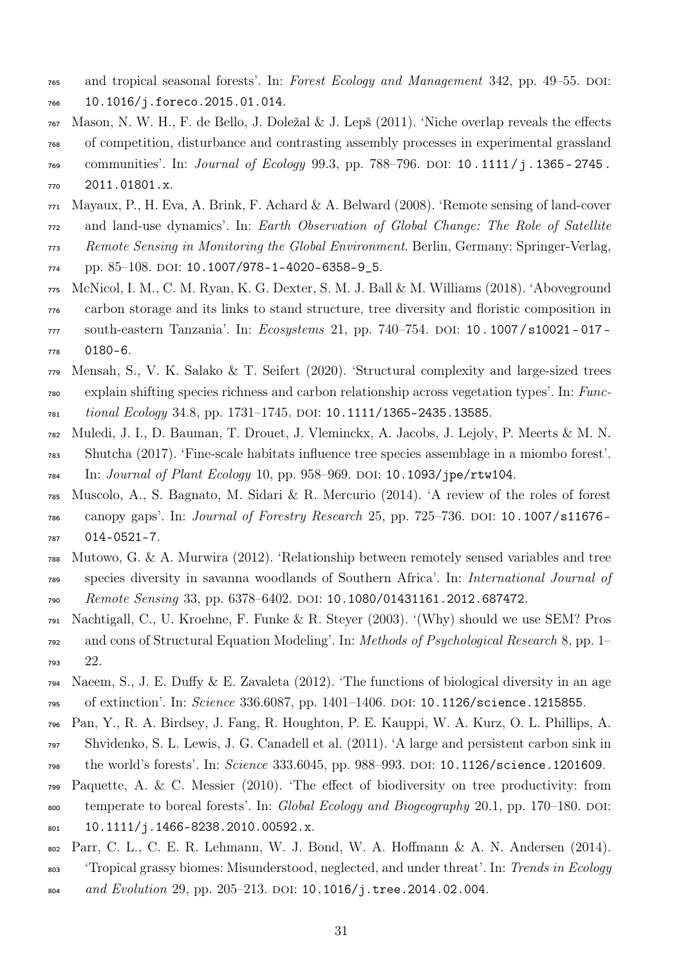- and tropical seasonal forests'. In: Forest Ecology and Management 342, pp. 49–55. doi:
- [10.1016/j.foreco.2015.01.014](https://doi.org/10.1016/j.foreco.2015.01.014).
- <span id="page-30-7"></span> Mason, N. W. H., F. de Bello, J. Doležal & J. Lepš (2011). 'Niche overlap reveals the effects of competition, disturbance and contrasting assembly processes in experimental grassland
- <sup>769</sup> communities'. In: *Journal of Ecology* 99.3, pp. 788–796. DOI: 10.1111/j.1365-2745. [2011.01801.x](https://doi.org/10.1111/j.1365-2745.2011.01801.x).
- <span id="page-30-2"></span>Mayaux, P., H. Eva, A. Brink, F. Achard & A. Belward (2008). 'Remote sensing of land-cover

and land-use dynamics'. In: Earth Observation of Global Change: The Role of Satellite

- Remote Sensing in Monitoring the Global Environment. Berlin, Germany: Springer-Verlag,
- $p. 85-108.$  DOI: [10.1007/978-1-4020-6358-9\\_5](https://doi.org/10.1007/978-1-4020-6358-9_5).
- <span id="page-30-4"></span> McNicol, I. M., C. M. Ryan, K. G. Dexter, S. M. J. Ball & M. Williams (2018). 'Aboveground carbon storage and its links to stand structure, tree diversity and floristic composition in 777 south-eastern Tanzania'. In: Ecosystems 21, pp. 740–754. DOI: 10.1007/s10021-017-[0180-6](https://doi.org/10.1007/s10021-017-0180-6).
- <span id="page-30-6"></span> Mensah, S., V. K. Salako & T. Seifert (2020). 'Structural complexity and large-sized trees explain shifting species richness and carbon relationship across vegetation types'. In: Func-*tional Ecology* 34.8, pp. 1731–1745. DOI: [10.1111/1365-2435.13585](https://doi.org/10.1111/1365-2435.13585).
- <span id="page-30-11"></span> Muledi, J. I., D. Bauman, T. Drouet, J. Vleminckx, A. Jacobs, J. Lejoly, P. Meerts & M. N. Shutcha (2017). 'Fine-scale habitats influence tree species assemblage in a miombo forest'.
- $_{784}$  In: Journal of Plant Ecology 10, pp. 958–969. DOI: [10.1093/jpe/rtw104](https://doi.org/10.1093/jpe/rtw104).
- <span id="page-30-10"></span> Muscolo, A., S. Bagnato, M. Sidari & R. Mercurio (2014). 'A review of the roles of forest  $\frac{1}{786}$  canopy gaps'. In: *Journal of Forestry Research* 25, pp. 725–736. DOI: 10.1007/s11676– [014-0521-7](https://doi.org/10.1007/s11676-014-0521-7).
- <span id="page-30-5"></span> Mutowo, G. & A. Murwira (2012). 'Relationship between remotely sensed variables and tree species diversity in savanna woodlands of Southern Africa'. In: International Journal of 790 Remote Sensing 33, pp. 6378–6402. DOI: [10.1080/01431161.2012.687472](https://doi.org/10.1080/01431161.2012.687472).
- <span id="page-30-9"></span> Nachtigall, C., U. Kroehne, F. Funke & R. Steyer (2003). '(Why) should we use SEM? Pros and cons of Structural Equation Modeling'. In: Methods of Psychological Research 8, pp. 1– 22.
- <span id="page-30-0"></span> Naeem, S., J. E. Duffy & E. Zavaleta (2012). 'The functions of biological diversity in an age <sup>795</sup> of extinction'. In: *Science* 336.6087, pp. 1401–1406. DOI: [10.1126/science.1215855](https://doi.org/10.1126/science.1215855).
- <span id="page-30-1"></span>Pan, Y., R. A. Birdsey, J. Fang, R. Houghton, P. E. Kauppi, W. A. Kurz, O. L. Phillips, A.
- Shvidenko, S. L. Lewis, J. G. Canadell et al. (2011). 'A large and persistent carbon sink in
- <sup>798</sup> the world's forests'. In: Science 333.6045, pp. 988-993. DOI: [10.1126/science.1201609](https://doi.org/10.1126/science.1201609).
- <span id="page-30-3"></span> Paquette, A. & C. Messier (2010). 'The effect of biodiversity on tree productivity: from  $\frac{1}{800}$  temperate to boreal forests'. In: *Global Ecology and Biogeography* 20.1, pp. 170–180. DOI: [10.1111/j.1466-8238.2010.00592.x](https://doi.org/10.1111/j.1466-8238.2010.00592.x).
- <span id="page-30-8"></span>Parr, C. L., C. E. R. Lehmann, W. J. Bond, W. A. Hoffmann & A. N. Andersen (2014).
- <sup>803</sup> 'Tropical grassy biomes: Misunderstood, neglected, and under threat'. In: Trends in Ecology
- 804 and Evolution 29, pp. 205-213. DOI: [10.1016/j.tree.2014.02.004](https://doi.org/10.1016/j.tree.2014.02.004).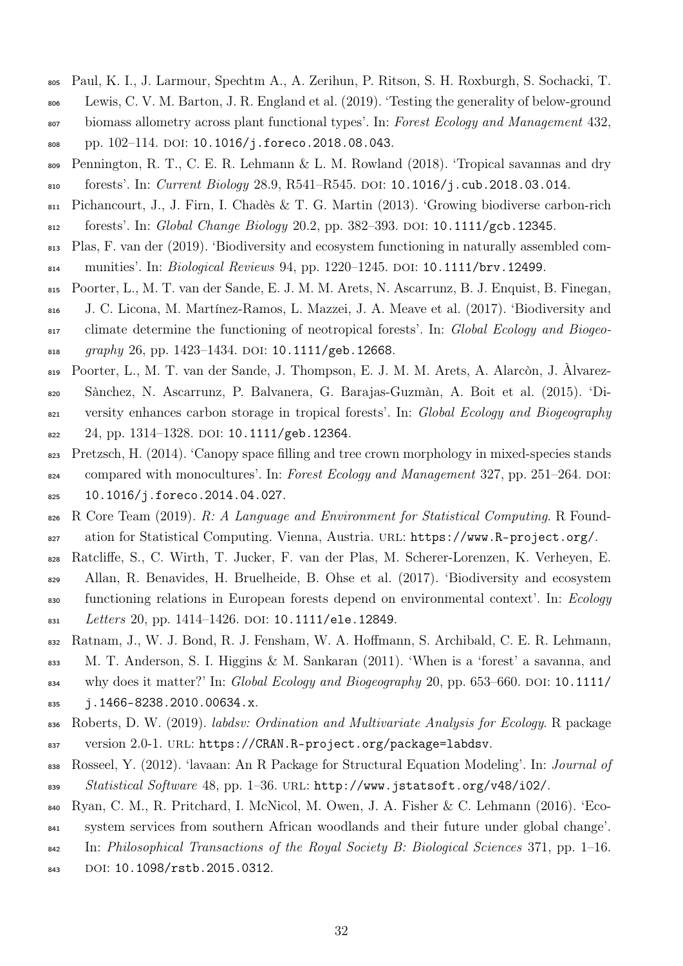- <span id="page-31-12"></span><span id="page-31-9"></span><sup>805</sup> Paul, K. I., J. Larmour, Spechtm A., A. Zerihun, P. Ritson, S. H. Roxburgh, S. Sochacki, T.
- <sup>806</sup> Lewis, C. V. M. Barton, J. R. England et al. (2019). 'Testing the generality of below-ground <sup>807</sup> biomass allometry across plant functional types'. In: Forest Ecology and Management 432,
- 808 pp. 102-114. DOI: [10.1016/j.foreco.2018.08.043](https://doi.org/10.1016/j.foreco.2018.08.043).
- <span id="page-31-3"></span><sup>809</sup> Pennington, R. T., C. E. R. Lehmann & L. M. Rowland (2018). 'Tropical savannas and dry 810 forests'. In: Current Biology 28.9, R541-R545. DOI: [10.1016/j.cub.2018.03.014](https://doi.org/10.1016/j.cub.2018.03.014).
- <span id="page-31-1"></span><sup>811</sup> Pichancourt, J., J. Firn, I. Chadès & T. G. Martin (2013). 'Growing biodiverse carbon-rich
- 812 forests'. In: Global Change Biology 20.2, pp. 382–393. DOI: [10.1111/gcb.12345](https://doi.org/10.1111/gcb.12345).
- <span id="page-31-0"></span><sup>813</sup> Plas, F. van der (2019). 'Biodiversity and ecosystem functioning in naturally assembled com-814 munities'. In: *Biological Reviews* 94, pp. 1220–1245. DOI: [10.1111/brv.12499](https://doi.org/10.1111/brv.12499).
- <span id="page-31-11"></span><sup>815</sup> Poorter, L., M. T. van der Sande, E. J. M. M. Arets, N. Ascarrunz, B. J. Enquist, B. Finegan,
- <sup>816</sup> J. C. Licona, M. Martínez-Ramos, L. Mazzei, J. A. Meave et al. (2017). 'Biodiversity and 817 climate determine the functioning of neotropical forests'. In: Global Ecology and Biogeo- $_{818}$  graphy 26, pp. 1423–1434. DOI: [10.1111/geb.12668](https://doi.org/10.1111/geb.12668).
- <span id="page-31-2"></span><sup>819</sup> Poorter, L., M. T. van der Sande, J. Thompson, E. J. M. M. Arets, A. Alarcòn, J. Àlvarez-
- <sup>820</sup> Sànchez, N. Ascarrunz, P. Balvanera, G. Barajas-Guzmàn, A. Boit et al. (2015). 'Di-
- <sup>821</sup> versity enhances carbon storage in tropical forests'. In: *Global Ecology and Biogeography*
- $822$  24, pp. 1314–1328. DOI: [10.1111/geb.12364](https://doi.org/10.1111/geb.12364).
- <span id="page-31-10"></span>823 Pretzsch, H. (2014). 'Canopy space filling and tree crown morphology in mixed-species stands
- 824 compared with monocultures'. In: Forest Ecology and Management 327, pp. 251–264. DOI: <sup>825</sup> [10.1016/j.foreco.2014.04.027](https://doi.org/10.1016/j.foreco.2014.04.027).
- <span id="page-31-8"></span>826 R Core Team (2019). R: A Language and Environment for Statistical Computing. R Found827 ation for Statistical Computing. Vienna, Austria. URL: <https://www.R-project.org/>.
- <span id="page-31-6"></span><sup>828</sup> Ratcliffe, S., C. Wirth, T. Jucker, F. van der Plas, M. Scherer-Lorenzen, K. Verheyen, E.
- <sup>829</sup> Allan, R. Benavides, H. Bruelheide, B. Ohse et al. (2017). 'Biodiversity and ecosystem <sup>830</sup> functioning relations in European forests depend on environmental context'. In: Ecology 831 Letters 20, pp. 1414-1426. DOI: [10.1111/ele.12849](https://doi.org/10.1111/ele.12849).
- <span id="page-31-4"></span><sup>832</sup> Ratnam, J., W. J. Bond, R. J. Fensham, W. A. Hoffmann, S. Archibald, C. E. R. Lehmann,
- <sup>833</sup> M. T. Anderson, S. I. Higgins & M. Sankaran (2011). 'When is a 'forest' a savanna, and
- $834$  why does it matter?' In: Global Ecology and Biogeography 20, pp. 653–660. DOI: [10.1111/](https://doi.org/10.1111/j.1466-8238.2010.00634.x)
- <sup>835</sup> [j.1466-8238.2010.00634.x](https://doi.org/10.1111/j.1466-8238.2010.00634.x).
- <sup>836</sup> Roberts, D. W. (2019). labdsv: Ordination and Multivariate Analysis for Ecology. R package
- 837 version 2.0-1. URL: <https://CRAN.R-project.org/package=labdsv>.
- <span id="page-31-7"></span><sup>838</sup> Rosseel, Y. (2012). 'lavaan: An R Package for Structural Equation Modeling'. In: Journal of 839 Statistical Software 48, pp. 1–36. URL: <http://www.jstatsoft.org/v48/i02/>.
- <span id="page-31-5"></span><sup>840</sup> Ryan, C. M., R. Pritchard, I. McNicol, M. Owen, J. A. Fisher & C. Lehmann (2016). 'Eco-
- <sup>841</sup> system services from southern African woodlands and their future under global change'.
- $\mathbb{R}^{42}$  In: Philosophical Transactions of the Royal Society B: Biological Sciences 371, pp. 1–16.
- 843 DOI: [10.1098/rstb.2015.0312](https://doi.org/10.1098/rstb.2015.0312).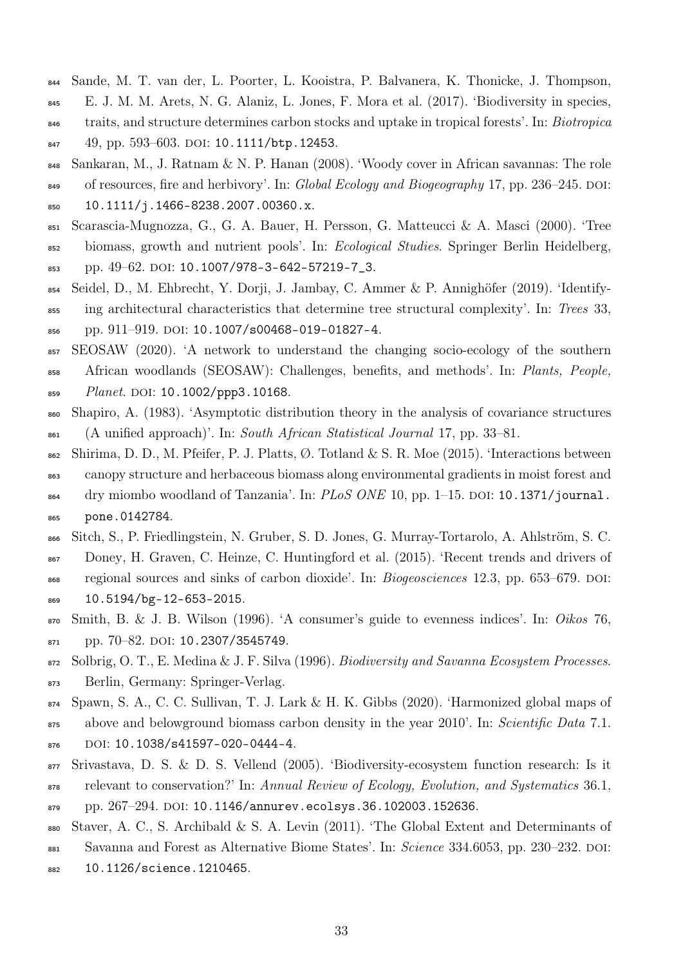- <span id="page-32-0"></span><sup>844</sup> Sande, M. T. van der, L. Poorter, L. Kooistra, P. Balvanera, K. Thonicke, J. Thompson, <sup>845</sup> E. J. M. M. Arets, N. G. Alaniz, L. Jones, F. Mora et al. (2017). 'Biodiversity in species,
- <sup>846</sup> traits, and structure determines carbon stocks and uptake in tropical forests'. In: *Biotropica* 847 49, pp. 593-603. DOI: [10.1111/btp.12453](https://doi.org/10.1111/btp.12453).
- <span id="page-32-4"></span><sup>848</sup> Sankaran, M., J. Ratnam & N. P. Hanan (2008). 'Woody cover in African savannas: The role 849 of resources, fire and herbivory'. In: Global Ecology and Biogeography 17, pp. 236–245. DOI: <sup>850</sup> [10.1111/j.1466-8238.2007.00360.x](https://doi.org/10.1111/j.1466-8238.2007.00360.x).
- <span id="page-32-10"></span><sup>851</sup> Scarascia-Mugnozza, G., G. A. Bauer, H. Persson, G. Matteucci & A. Masci (2000). 'Tree
- <sup>852</sup> biomass, growth and nutrient pools'. In: *Ecological Studies*. Springer Berlin Heidelberg,
- 853 pp. 49–62. doi: [10.1007/978-3-642-57219-7\\_3](https://doi.org/10.1007/978-3-642-57219-7_3).
- <span id="page-32-12"></span><sup>854</sup> Seidel, D., M. Ehbrecht, Y. Dorji, J. Jambay, C. Ammer & P. Annighöfer (2019). 'Identify-<sup>855</sup> ing architectural characteristics that determine tree structural complexity'. In: Trees 33, 856 pp. 911-919. doi: [10.1007/s00468-019-01827-4](https://doi.org/10.1007/s00468-019-01827-4).
- <span id="page-32-6"></span><sup>857</sup> SEOSAW (2020). 'A network to understand the changing socio-ecology of the southern <sup>858</sup> African woodlands (SEOSAW): Challenges, benefits, and methods'. In: Plants, People, 859 Planet. DOI: [10.1002/ppp3.10168](https://doi.org/10.1002/ppp3.10168).
- <span id="page-32-8"></span><sup>860</sup> Shapiro, A. (1983). 'Asymptotic distribution theory in the analysis of covariance structures  $\delta$ <sub>861</sub> (A unified approach)'. In: South African Statistical Journal 17, pp. 33–81.
- <span id="page-32-5"></span>862 Shirima, D. D., M. Pfeifer, P. J. Platts, Ø. Totland & S. R. Moe (2015). 'Interactions between <sup>863</sup> canopy structure and herbaceous biomass along environmental gradients in moist forest and 864 dry miombo woodland of Tanzania'. In:  $PLoS$  ONE 10, pp. 1–15. DOI: [10.1371/journal.](https://doi.org/10.1371/journal.pone.0142784) <sup>865</sup> [pone.0142784](https://doi.org/10.1371/journal.pone.0142784).
- <span id="page-32-3"></span><sup>866</sup> Sitch, S., P. Friedlingstein, N. Gruber, S. D. Jones, G. Murray-Tortarolo, A. Ahlström, S. C.
- <sup>867</sup> Doney, H. Graven, C. Heinze, C. Huntingford et al. (2015). 'Recent trends and drivers of
- 868 regional sources and sinks of carbon dioxide'. In: *Biogeosciences* 12.3, pp. 653–679. DOI: <sup>869</sup> [10.5194/bg-12-653-2015](https://doi.org/10.5194/bg-12-653-2015).
- <span id="page-32-7"></span> $\sigma$  Smith, B. & J. B. Wilson (1996). 'A consumer's guide to evenness indices'. In: Oikos 76, 871 pp. 70–82. doi: [10.2307/3545749](https://doi.org/10.2307/3545749).
- <span id="page-32-1"></span>872 Solbrig, O. T., E. Medina & J. F. Silva (1996). Biodiversity and Savanna Ecosystem Processes. <sup>873</sup> Berlin, Germany: Springer-Verlag.
- <span id="page-32-2"></span><sup>874</sup> Spawn, S. A., C. C. Sullivan, T. J. Lark & H. K. Gibbs (2020). 'Harmonized global maps of 875 above and belowground biomass carbon density in the year 2010'. In: Scientific Data 7.1.
- 876 DOI: [10.1038/s41597-020-0444-4](https://doi.org/10.1038/s41597-020-0444-4).
- <span id="page-32-11"></span><sup>877</sup> Srivastava, D. S. & D. S. Vellend (2005). 'Biodiversity-ecosystem function research: Is it
- <sup>878</sup> relevant to conservation?' In: Annual Review of Ecology, Evolution, and Systematics 36.1,  $879$  pp. 267–294. DOI: [10.1146/annurev.ecolsys.36.102003.152636](https://doi.org/10.1146/annurev.ecolsys.36.102003.152636).
- <span id="page-32-9"></span><sup>880</sup> Staver, A. C., S. Archibald & S. A. Levin (2011). 'The Global Extent and Determinants of
- 881 Savanna and Forest as Alternative Biome States'. In: Science 334.6053, pp. 230–232. DOI:
- <sup>882</sup> [10.1126/science.1210465](https://doi.org/10.1126/science.1210465).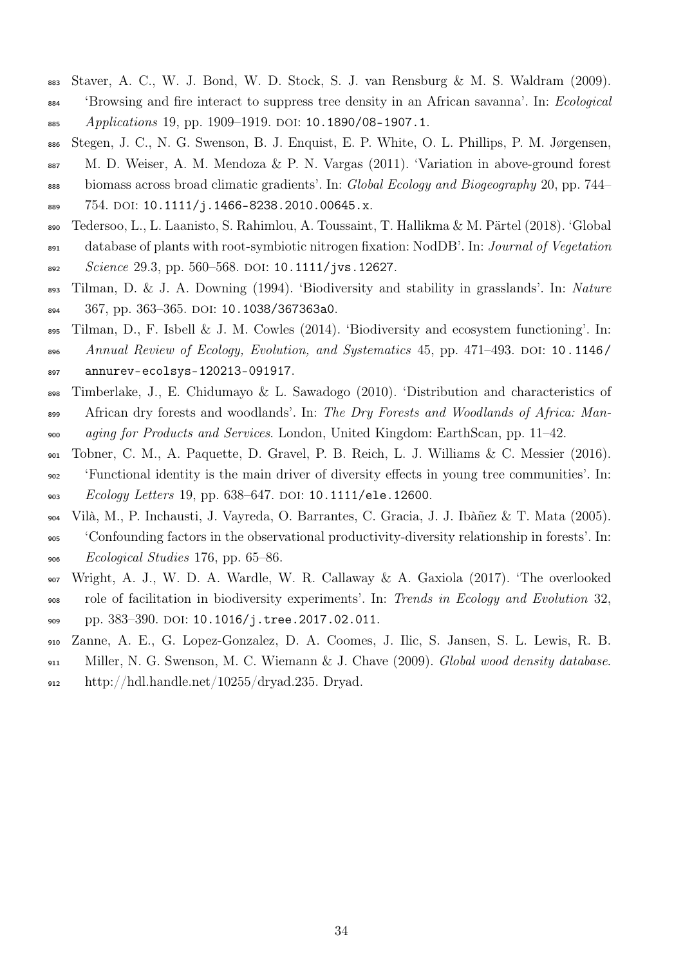- <span id="page-33-7"></span>Staver, A. C., W. J. Bond, W. D. Stock, S. J. van Rensburg & M. S. Waldram (2009).
- <sup>884</sup> 'Browsing and fire interact to suppress tree density in an African savanna'. In: *Ecological* 885 Applications 19, pp. 1909–1919. DOI: [10.1890/08-1907.1](https://doi.org/10.1890/08-1907.1).
- <span id="page-33-5"></span> Stegen, J. C., N. G. Swenson, B. J. Enquist, E. P. White, O. L. Phillips, P. M. Jørgensen, M. D. Weiser, A. M. Mendoza & P. N. Vargas (2011). 'Variation in above-ground forest 888 biomass across broad climatic gradients'. In: Global Ecology and Biogeography 20, pp. 744–
- 889 754. DOI: [10.1111/j.1466-8238.2010.00645.x](https://doi.org/10.1111/j.1466-8238.2010.00645.x).
- <span id="page-33-9"></span>Tedersoo, L., L. Laanisto, S. Rahimlou, A. Toussaint, T. Hallikma & M. Pärtel (2018). 'Global
- database of plants with root-symbiotic nitrogen fixation: NodDB'. In: Journal of Vegetation
- 892 Science 29.3, pp. 560–568. DOI: [10.1111/jvs.12627](https://doi.org/10.1111/jvs.12627).
- <span id="page-33-0"></span> Tilman, D. & J. A. Downing (1994). 'Biodiversity and stability in grasslands'. In: Nature 894 367, pp. 363-365. DOI: [10.1038/367363a0](https://doi.org/10.1038/367363a0).
- <span id="page-33-1"></span> Tilman, D., F. Isbell & J. M. Cowles (2014). 'Biodiversity and ecosystem functioning'. In: 896 Annual Review of Ecology, Evolution, and Systematics 45, pp. 471–493. DOI: [10.1146/](https://doi.org/10.1146/annurev-ecolsys-120213-091917) [annurev-ecolsys-120213-091917](https://doi.org/10.1146/annurev-ecolsys-120213-091917).
- <span id="page-33-8"></span>Timberlake, J., E. Chidumayo & L. Sawadogo (2010). 'Distribution and characteristics of
- 899 African dry forests and woodlands'. In: The Dry Forests and Woodlands of Africa: Man-aging for Products and Services. London, United Kingdom: EarthScan, pp. 11–42.
- <span id="page-33-4"></span> Tobner, C. M., A. Paquette, D. Gravel, P. B. Reich, L. J. Williams & C. Messier (2016). 'Functional identity is the main driver of diversity effects in young tree communities'. In: 903 Ecology Letters 19, pp. 638-647. DOI: [10.1111/ele.12600](https://doi.org/10.1111/ele.12600).
- <span id="page-33-2"></span> Vilà, M., P. Inchausti, J. Vayreda, O. Barrantes, C. Gracia, J. J. Ibàñez & T. Mata (2005). 'Confounding factors in the observational productivity-diversity relationship in forests'. In: Ecological Studies 176, pp. 65–86.
- <span id="page-33-3"></span> Wright, A. J., W. D. A. Wardle, W. R. Callaway & A. Gaxiola (2017). 'The overlooked role of facilitation in biodiversity experiments'. In: Trends in Ecology and Evolution 32, 909 pp. 383-390. DOI: [10.1016/j.tree.2017.02.011](https://doi.org/10.1016/j.tree.2017.02.011).
- <span id="page-33-6"></span>Zanne, A. E., G. Lopez-Gonzalez, D. A. Coomes, J. Ilic, S. Jansen, S. L. Lewis, R. B.
- Miller, N. G. Swenson, M. C. Wiemann & J. Chave (2009). Global wood density database. 912 http://hdl.handle.net/10255/dryad.235. Dryad.